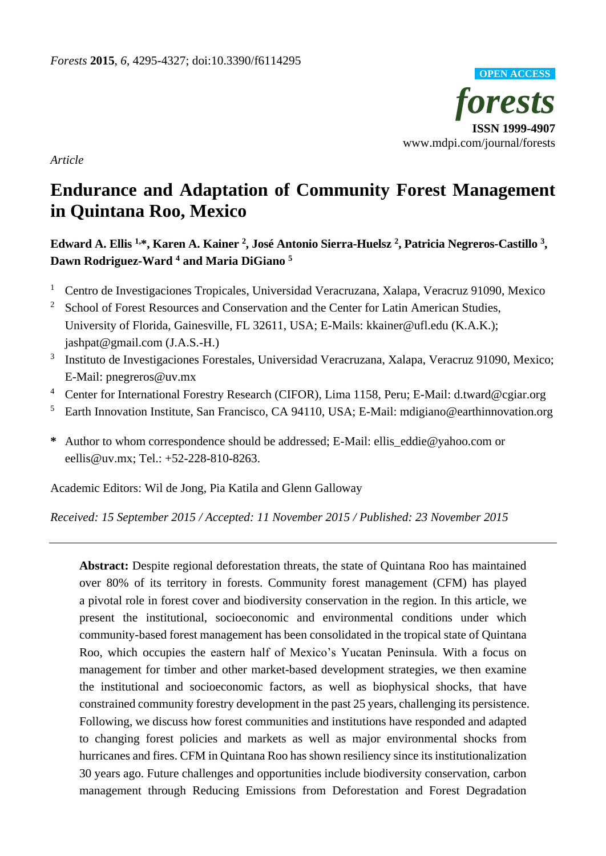

*Article*

# **Endurance and Adaptation of Community Forest Management in Quintana Roo, Mexico**

# **Edward A. Ellis 1,\*, Karen A. Kainer <sup>2</sup> , JoséAntonio Sierra-Huelsz <sup>2</sup> , Patricia Negreros-Castillo <sup>3</sup> , Dawn Rodriguez-Ward <sup>4</sup> and Maria DiGiano <sup>5</sup>**

- <sup>1</sup> Centro de Investigaciones Tropicales, Universidad Veracruzana, Xalapa, Veracruz 91090, Mexico
- <sup>2</sup> School of Forest Resources and Conservation and the Center for Latin American Studies, University of Florida, Gainesville, FL 32611, USA; E-Mails: kkainer@ufl.edu (K.A.K.); jashpat@gmail.com (J.A.S.-H.)
- <sup>3</sup> Instituto de Investigaciones Forestales, Universidad Veracruzana, Xalapa, Veracruz 91090, Mexico; E-Mail: pnegreros@uv.mx
- <sup>4</sup> Center for International Forestry Research (CIFOR), Lima 1158, Peru; E-Mail: d.tward@cgiar.org
- <sup>5</sup> Earth Innovation Institute, San Francisco, CA 94110, USA; E-Mail: mdigiano@earthinnovation.org
- **\*** Author to whom correspondence should be addressed; E-Mail: ellis\_eddie@yahoo.com or eellis@uv.mx; Tel.: +52-228-810-8263.

Academic Editors: Wil de Jong, Pia Katila and Glenn Galloway

*Received: 15 September 2015 / Accepted: 11 November 2015 / Published: 23 November 2015*

**Abstract:** Despite regional deforestation threats, the state of Quintana Roo has maintained over 80% of its territory in forests. Community forest management (CFM) has played a pivotal role in forest cover and biodiversity conservation in the region. In this article, we present the institutional, socioeconomic and environmental conditions under which community-based forest management has been consolidated in the tropical state of Quintana Roo, which occupies the eastern half of Mexico's Yucatan Peninsula. With a focus on management for timber and other market-based development strategies, we then examine the institutional and socioeconomic factors, as well as biophysical shocks, that have constrained community forestry development in the past 25 years, challenging its persistence. Following, we discuss how forest communities and institutions have responded and adapted to changing forest policies and markets as well as major environmental shocks from hurricanes and fires. CFM in Quintana Roo has shown resiliency since its institutionalization 30 years ago. Future challenges and opportunities include biodiversity conservation, carbon management through Reducing Emissions from Deforestation and Forest Degradation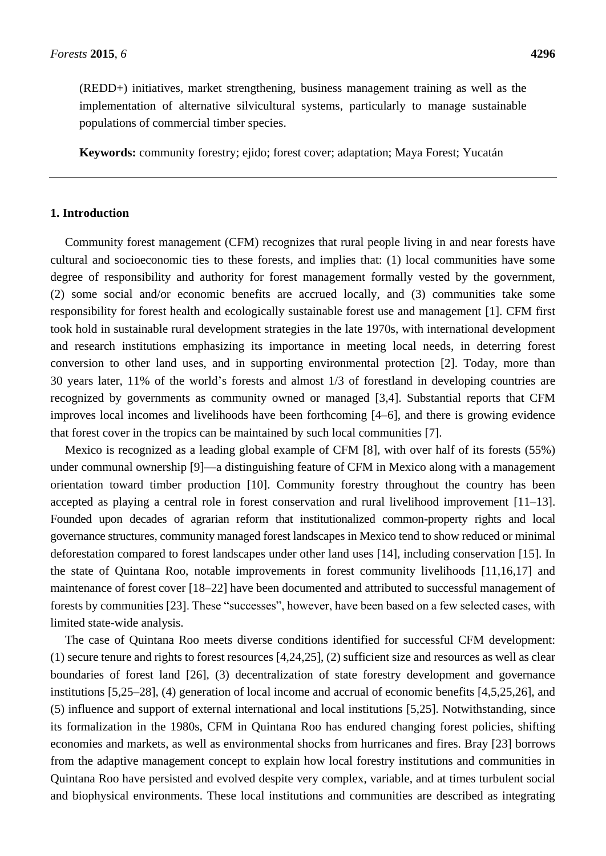(REDD+) initiatives, market strengthening, business management training as well as the implementation of alternative silvicultural systems, particularly to manage sustainable populations of commercial timber species.

**Keywords:** community forestry; ejido; forest cover; adaptation; Maya Forest; Yucatán

# **1. Introduction**

Community forest management (CFM) recognizes that rural people living in and near forests have cultural and socioeconomic ties to these forests, and implies that: (1) local communities have some degree of responsibility and authority for forest management formally vested by the government, (2) some social and/or economic benefits are accrued locally, and (3) communities take some responsibility for forest health and ecologically sustainable forest use and management [1]. CFM first took hold in sustainable rural development strategies in the late 1970s, with international development and research institutions emphasizing its importance in meeting local needs, in deterring forest conversion to other land uses, and in supporting environmental protection [2]. Today, more than 30 years later, 11% of the world's forests and almost 1/3 of forestland in developing countries are recognized by governments as community owned or managed [3,4]. Substantial reports that CFM improves local incomes and livelihoods have been forthcoming [4–6], and there is growing evidence that forest cover in the tropics can be maintained by such local communities [7].

Mexico is recognized as a leading global example of CFM [8], with over half of its forests (55%) under communal ownership [9]—a distinguishing feature of CFM in Mexico along with a management orientation toward timber production [10]. Community forestry throughout the country has been accepted as playing a central role in forest conservation and rural livelihood improvement [11–13]. Founded upon decades of agrarian reform that institutionalized common-property rights and local governance structures, community managed forest landscapes in Mexico tend to show reduced or minimal deforestation compared to forest landscapes under other land uses [14], including conservation [15]. In the state of Quintana Roo, notable improvements in forest community livelihoods [11,16,17] and maintenance of forest cover [18–22] have been documented and attributed to successful management of forests by communities [23]. These "successes", however, have been based on a few selected cases, with limited state-wide analysis.

The case of Quintana Roo meets diverse conditions identified for successful CFM development: (1) secure tenure and rights to forest resources [4,24,25], (2) sufficient size and resources as well as clear boundaries of forest land [26], (3) decentralization of state forestry development and governance institutions [5,25–28], (4) generation of local income and accrual of economic benefits [4,5,25,26], and (5) influence and support of external international and local institutions [5,25]. Notwithstanding, since its formalization in the 1980s, CFM in Quintana Roo has endured changing forest policies, shifting economies and markets, as well as environmental shocks from hurricanes and fires. Bray [23] borrows from the adaptive management concept to explain how local forestry institutions and communities in Quintana Roo have persisted and evolved despite very complex, variable, and at times turbulent social and biophysical environments. These local institutions and communities are described as integrating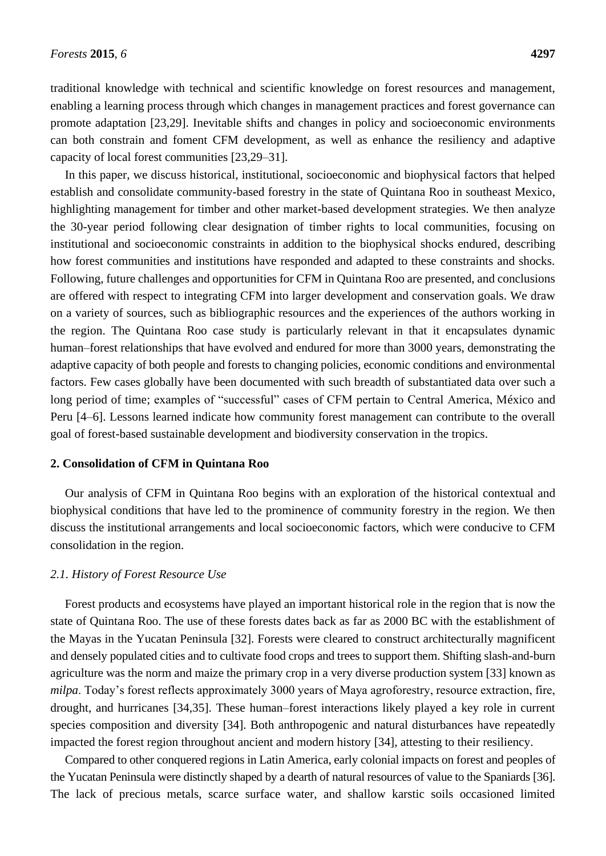traditional knowledge with technical and scientific knowledge on forest resources and management, enabling a learning process through which changes in management practices and forest governance can promote adaptation [23,29]. Inevitable shifts and changes in policy and socioeconomic environments can both constrain and foment CFM development, as well as enhance the resiliency and adaptive capacity of local forest communities [23,29–31].

In this paper, we discuss historical, institutional, socioeconomic and biophysical factors that helped establish and consolidate community-based forestry in the state of Quintana Roo in southeast Mexico, highlighting management for timber and other market-based development strategies. We then analyze the 30-year period following clear designation of timber rights to local communities, focusing on institutional and socioeconomic constraints in addition to the biophysical shocks endured, describing how forest communities and institutions have responded and adapted to these constraints and shocks. Following, future challenges and opportunities for CFM in Quintana Roo are presented, and conclusions are offered with respect to integrating CFM into larger development and conservation goals. We draw on a variety of sources, such as bibliographic resources and the experiences of the authors working in the region. The Quintana Roo case study is particularly relevant in that it encapsulates dynamic human–forest relationships that have evolved and endured for more than 3000 years, demonstrating the adaptive capacity of both people and forests to changing policies, economic conditions and environmental factors. Few cases globally have been documented with such breadth of substantiated data over such a long period of time; examples of "successful" cases of CFM pertain to Central America, México and Peru [4–6]. Lessons learned indicate how community forest management can contribute to the overall goal of forest-based sustainable development and biodiversity conservation in the tropics.

#### **2. Consolidation of CFM in Quintana Roo**

Our analysis of CFM in Quintana Roo begins with an exploration of the historical contextual and biophysical conditions that have led to the prominence of community forestry in the region. We then discuss the institutional arrangements and local socioeconomic factors, which were conducive to CFM consolidation in the region.

## *2.1. History of Forest Resource Use*

Forest products and ecosystems have played an important historical role in the region that is now the state of Quintana Roo. The use of these forests dates back as far as 2000 BC with the establishment of the Mayas in the Yucatan Peninsula [32]. Forests were cleared to construct architecturally magnificent and densely populated cities and to cultivate food crops and trees to support them. Shifting slash-and-burn agriculture was the norm and maize the primary crop in a very diverse production system [33] known as *milpa*. Today's forest reflects approximately 3000 years of Maya agroforestry, resource extraction, fire, drought, and hurricanes [34,35]. These human–forest interactions likely played a key role in current species composition and diversity [34]. Both anthropogenic and natural disturbances have repeatedly impacted the forest region throughout ancient and modern history [34], attesting to their resiliency.

Compared to other conquered regions in Latin America, early colonial impacts on forest and peoples of the Yucatan Peninsula were distinctly shaped by a dearth of natural resources of value to the Spaniards [36]. The lack of precious metals, scarce surface water, and shallow karstic soils occasioned limited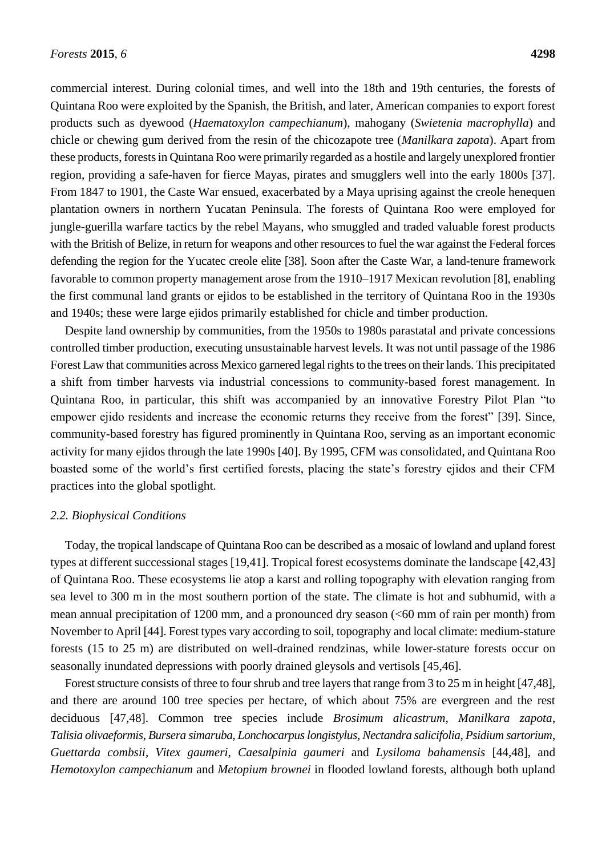commercial interest. During colonial times, and well into the 18th and 19th centuries, the forests of Quintana Roo were exploited by the Spanish, the British, and later, American companies to export forest products such as dyewood (*Haematoxylon campechianum*), mahogany (*Swietenia macrophylla*) and chicle or chewing gum derived from the resin of the chicozapote tree (*Manilkara zapota*). Apart from these products, forests in Quintana Roo were primarily regarded as a hostile and largely unexplored frontier region, providing a safe-haven for fierce Mayas, pirates and smugglers well into the early 1800s [37]. From 1847 to 1901, the Caste War ensued, exacerbated by a Maya uprising against the creole henequen plantation owners in northern Yucatan Peninsula. The forests of Quintana Roo were employed for jungle-guerilla warfare tactics by the rebel Mayans, who smuggled and traded valuable forest products with the British of Belize, in return for weapons and other resources to fuel the war against the Federal forces defending the region for the Yucatec creole elite [38]. Soon after the Caste War, a land-tenure framework favorable to common property management arose from the 1910–1917 Mexican revolution [8], enabling the first communal land grants or ejidos to be established in the territory of Quintana Roo in the 1930s and 1940s; these were large ejidos primarily established for chicle and timber production.

Despite land ownership by communities, from the 1950s to 1980s parastatal and private concessions controlled timber production, executing unsustainable harvest levels. It was not until passage of the 1986 Forest Law that communities across Mexico garnered legal rights to the trees on their lands. This precipitated a shift from timber harvests via industrial concessions to community-based forest management. In Quintana Roo, in particular, this shift was accompanied by an innovative Forestry Pilot Plan "to empower ejido residents and increase the economic returns they receive from the forest" [39]. Since, community-based forestry has figured prominently in Quintana Roo, serving as an important economic activity for many ejidos through the late 1990s [40]. By 1995, CFM was consolidated, and Quintana Roo boasted some of the world's first certified forests, placing the state's forestry ejidos and their CFM practices into the global spotlight.

#### *2.2. Biophysical Conditions*

Today, the tropical landscape of Quintana Roo can be described as a mosaic of lowland and upland forest types at different successional stages [19,41]. Tropical forest ecosystems dominate the landscape [42,43] of Quintana Roo. These ecosystems lie atop a karst and rolling topography with elevation ranging from sea level to 300 m in the most southern portion of the state. The climate is hot and subhumid, with a mean annual precipitation of 1200 mm, and a pronounced dry season (<60 mm of rain per month) from November to April [44]. Forest types vary according to soil, topography and local climate: medium-stature forests (15 to 25 m) are distributed on well-drained rendzinas, while lower-stature forests occur on seasonally inundated depressions with poorly drained gleysols and vertisols [45,46].

Forest structure consists of three to four shrub and tree layers that range from 3 to 25 m in height [47,48], and there are around 100 tree species per hectare, of which about 75% are evergreen and the rest deciduous [47,48]. Common tree species include *Brosimum alicastrum*, *Manilkara zapota*, *Talisia olivaeformis*, *Bursera simaruba*, *Lonchocarpus longistylus*, *Nectandra salicifolia*, *Psidium sartorium*, *Guettarda combsii*, *Vitex gaumeri*, *Caesalpinia gaumeri* and *Lysiloma bahamensis* [44,48], and *Hemotoxylon campechianum* and *Metopium brownei* in flooded lowland forests, although both upland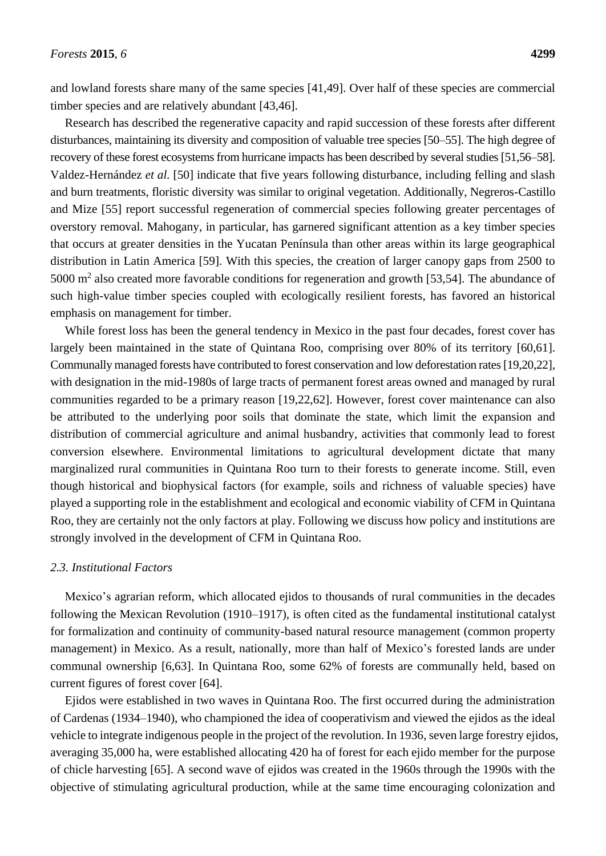and lowland forests share many of the same species [41,49]. Over half of these species are commercial timber species and are relatively abundant [43,46].

Research has described the regenerative capacity and rapid succession of these forests after different disturbances, maintaining its diversity and composition of valuable tree species [50–55]. The high degree of recovery of these forest ecosystems from hurricane impacts has been described by several studies [51,56–58]. Valdez-Hernández *et al.* [50] indicate that five years following disturbance, including felling and slash and burn treatments, floristic diversity was similar to original vegetation. Additionally, Negreros-Castillo and Mize [55] report successful regeneration of commercial species following greater percentages of overstory removal. Mahogany, in particular, has garnered significant attention as a key timber species that occurs at greater densities in the Yucatan Pen *fisula than* other areas within its large geographical distribution in Latin America [59]. With this species, the creation of larger canopy gaps from 2500 to 5000  $\text{m}^2$  also created more favorable conditions for regeneration and growth [53,54]. The abundance of such high-value timber species coupled with ecologically resilient forests, has favored an historical emphasis on management for timber.

While forest loss has been the general tendency in Mexico in the past four decades, forest cover has largely been maintained in the state of Quintana Roo, comprising over 80% of its territory [60,61]. Communally managed forests have contributed to forest conservation and low deforestation rates [19,20,22], with designation in the mid-1980s of large tracts of permanent forest areas owned and managed by rural communities regarded to be a primary reason [19,22,62]. However, forest cover maintenance can also be attributed to the underlying poor soils that dominate the state, which limit the expansion and distribution of commercial agriculture and animal husbandry, activities that commonly lead to forest conversion elsewhere. Environmental limitations to agricultural development dictate that many marginalized rural communities in Quintana Roo turn to their forests to generate income. Still, even though historical and biophysical factors (for example, soils and richness of valuable species) have played a supporting role in the establishment and ecological and economic viability of CFM in Quintana Roo, they are certainly not the only factors at play. Following we discuss how policy and institutions are strongly involved in the development of CFM in Quintana Roo.

## *2.3. Institutional Factors*

Mexico's agrarian reform, which allocated ejidos to thousands of rural communities in the decades following the Mexican Revolution (1910–1917), is often cited as the fundamental institutional catalyst for formalization and continuity of community-based natural resource management (common property management) in Mexico. As a result, nationally, more than half of Mexico's forested lands are under communal ownership [6,63]. In Quintana Roo, some 62% of forests are communally held, based on current figures of forest cover [64].

Ejidos were established in two waves in Quintana Roo. The first occurred during the administration of Cardenas (1934–1940), who championed the idea of cooperativism and viewed the ejidos as the ideal vehicle to integrate indigenous people in the project of the revolution. In 1936, seven large forestry ejidos, averaging 35,000 ha, were established allocating 420 ha of forest for each ejido member for the purpose of chicle harvesting [65]. A second wave of ejidos was created in the 1960s through the 1990s with the objective of stimulating agricultural production, while at the same time encouraging colonization and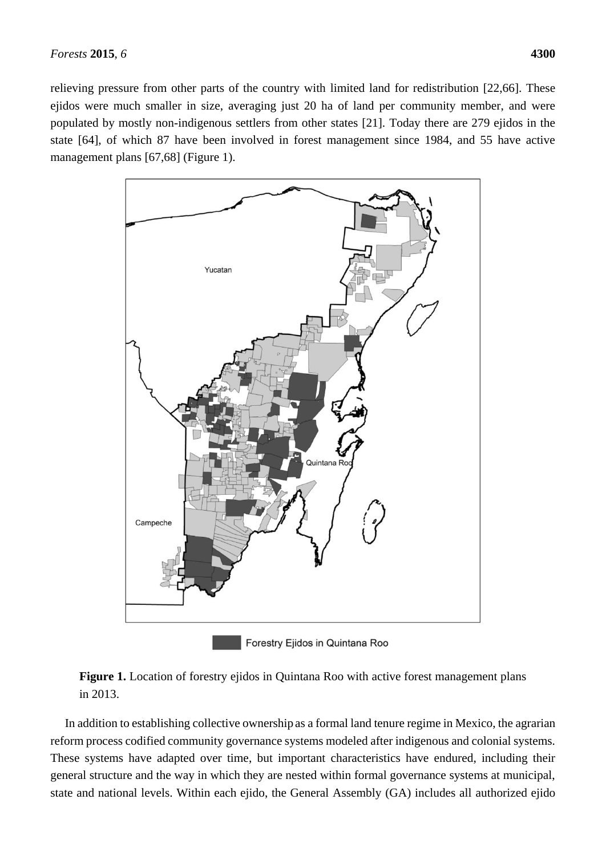relieving pressure from other parts of the country with limited land for redistribution [22,66]. These ejidos were much smaller in size, averaging just 20 ha of land per community member, and were populated by mostly non-indigenous settlers from other states [21]. Today there are 279 ejidos in the state [64], of which 87 have been involved in forest management since 1984, and 55 have active management plans [67,68] (Figure 1).



Forestry Ejidos in Quintana Roo



In addition to establishing collective ownership as a formal land tenure regime in Mexico, the agrarian reform process codified community governance systems modeled after indigenous and colonial systems. These systems have adapted over time, but important characteristics have endured, including their general structure and the way in which they are nested within formal governance systems at municipal, state and national levels. Within each ejido, the General Assembly (GA) includes all authorized ejido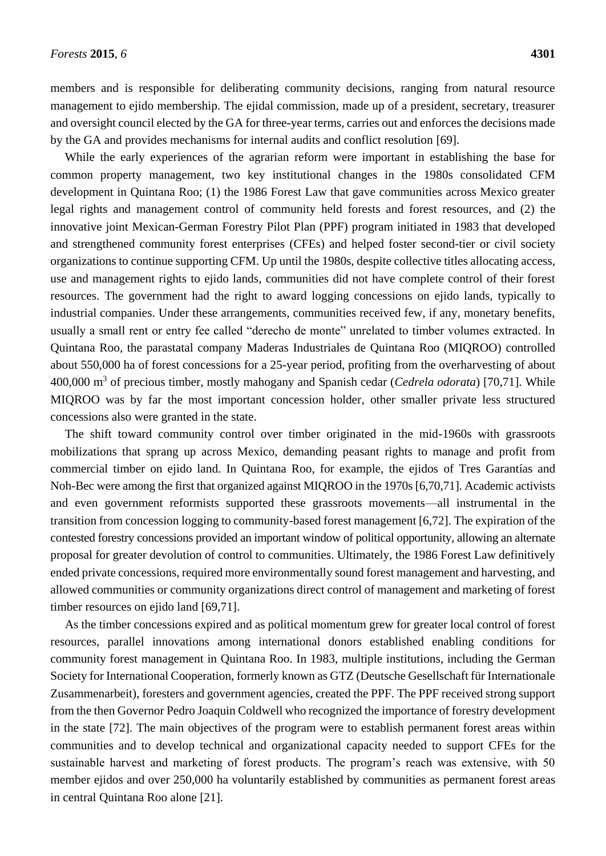members and is responsible for deliberating community decisions, ranging from natural resource management to ejido membership. The ejidal commission, made up of a president, secretary, treasurer and oversight council elected by the GA for three-year terms, carries out and enforces the decisions made by the GA and provides mechanisms for internal audits and conflict resolution [69].

While the early experiences of the agrarian reform were important in establishing the base for common property management, two key institutional changes in the 1980s consolidated CFM development in Quintana Roo; (1) the 1986 Forest Law that gave communities across Mexico greater legal rights and management control of community held forests and forest resources, and (2) the innovative joint Mexican-German Forestry Pilot Plan (PPF) program initiated in 1983 that developed and strengthened community forest enterprises (CFEs) and helped foster second-tier or civil society organizations to continue supporting CFM. Up until the 1980s, despite collective titles allocating access, use and management rights to ejido lands, communities did not have complete control of their forest resources. The government had the right to award logging concessions on ejido lands, typically to industrial companies. Under these arrangements, communities received few, if any, monetary benefits, usually a small rent or entry fee called "derecho de monte" unrelated to timber volumes extracted. In Quintana Roo, the parastatal company Maderas Industriales de Quintana Roo (MIQROO) controlled about 550,000 ha of forest concessions for a 25-year period, profiting from the overharvesting of about 400,000 m<sup>3</sup> of precious timber, mostly mahogany and Spanish cedar (*Cedrela odorata*) [70,71]. While MIQROO was by far the most important concession holder, other smaller private less structured concessions also were granted in the state.

The shift toward community control over timber originated in the mid-1960s with grassroots mobilizations that sprang up across Mexico, demanding peasant rights to manage and profit from commercial timber on ejido land. In Quintana Roo, for example, the ejidos of Tres Garant as and Noh-Bec were among the first that organized against MIQROO in the 1970s [6,70,71]. Academic activists and even government reformists supported these grassroots movements—all instrumental in the transition from concession logging to community-based forest management [6,72]. The expiration of the contested forestry concessions provided an important window of political opportunity, allowing an alternate proposal for greater devolution of control to communities. Ultimately, the 1986 Forest Law definitively ended private concessions, required more environmentally sound forest management and harvesting, and allowed communities or community organizations direct control of management and marketing of forest timber resources on ejido land [69,71].

As the timber concessions expired and as political momentum grew for greater local control of forest resources, parallel innovations among international donors established enabling conditions for community forest management in Quintana Roo. In 1983, multiple institutions, including the German Society for International Cooperation, formerly known as GTZ (Deutsche Gesellschaft für Internationale Zusammenarbeit), foresters and government agencies, created the PPF. The PPF received strong support from the then Governor Pedro Joaquin Coldwell who recognized the importance of forestry development in the state [72]. The main objectives of the program were to establish permanent forest areas within communities and to develop technical and organizational capacity needed to support CFEs for the sustainable harvest and marketing of forest products. The program's reach was extensive, with 50 member ejidos and over 250,000 ha voluntarily established by communities as permanent forest areas in central Quintana Roo alone [21].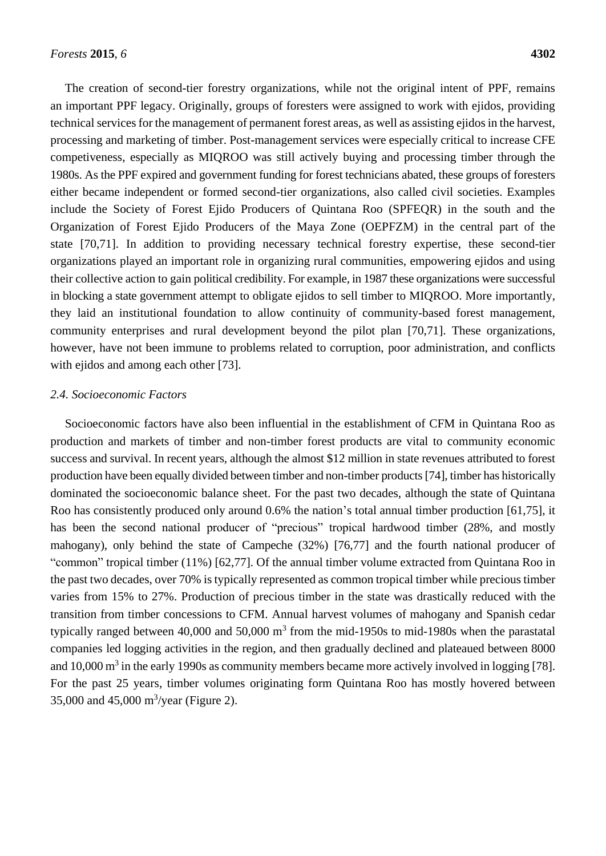The creation of second-tier forestry organizations, while not the original intent of PPF, remains an important PPF legacy. Originally, groups of foresters were assigned to work with ejidos, providing technical services for the management of permanent forest areas, as well as assisting ejidos in the harvest, processing and marketing of timber. Post-management services were especially critical to increase CFE competiveness, especially as MIQROO was still actively buying and processing timber through the 1980s. As the PPF expired and government funding for forest technicians abated, these groups of foresters either became independent or formed second-tier organizations, also called civil societies. Examples include the Society of Forest Ejido Producers of Quintana Roo (SPFEQR) in the south and the Organization of Forest Ejido Producers of the Maya Zone (OEPFZM) in the central part of the state [70,71]. In addition to providing necessary technical forestry expertise, these second-tier organizations played an important role in organizing rural communities, empowering ejidos and using their collective action to gain political credibility. For example, in 1987 these organizations were successful in blocking a state government attempt to obligate ejidos to sell timber to MIQROO. More importantly, they laid an institutional foundation to allow continuity of community-based forest management, community enterprises and rural development beyond the pilot plan [70,71]. These organizations, however, have not been immune to problems related to corruption, poor administration, and conflicts with ejidos and among each other [73].

# *2.4. Socioeconomic Factors*

Socioeconomic factors have also been influential in the establishment of CFM in Quintana Roo as production and markets of timber and non-timber forest products are vital to community economic success and survival. In recent years, although the almost \$12 million in state revenues attributed to forest production have been equally divided between timber and non-timber products [74], timber has historically dominated the socioeconomic balance sheet. For the past two decades, although the state of Quintana Roo has consistently produced only around 0.6% the nation's total annual timber production [61,75], it has been the second national producer of "precious" tropical hardwood timber (28%, and mostly mahogany), only behind the state of Campeche (32%) [76,77] and the fourth national producer of "common" tropical timber (11%) [62,77]. Of the annual timber volume extracted from Quintana Roo in the past two decades, over 70% is typically represented as common tropical timber while precious timber varies from 15% to 27%. Production of precious timber in the state was drastically reduced with the transition from timber concessions to CFM. Annual harvest volumes of mahogany and Spanish cedar typically ranged between  $40,000$  and  $50,000$  m<sup>3</sup> from the mid-1950s to mid-1980s when the parastatal companies led logging activities in the region, and then gradually declined and plateaued between 8000 and 10,000  $\text{m}^3$  in the early 1990s as community members became more actively involved in logging [78]. For the past 25 years, timber volumes originating form Quintana Roo has mostly hovered between 35,000 and 45,000 m<sup>3</sup>/year (Figure 2).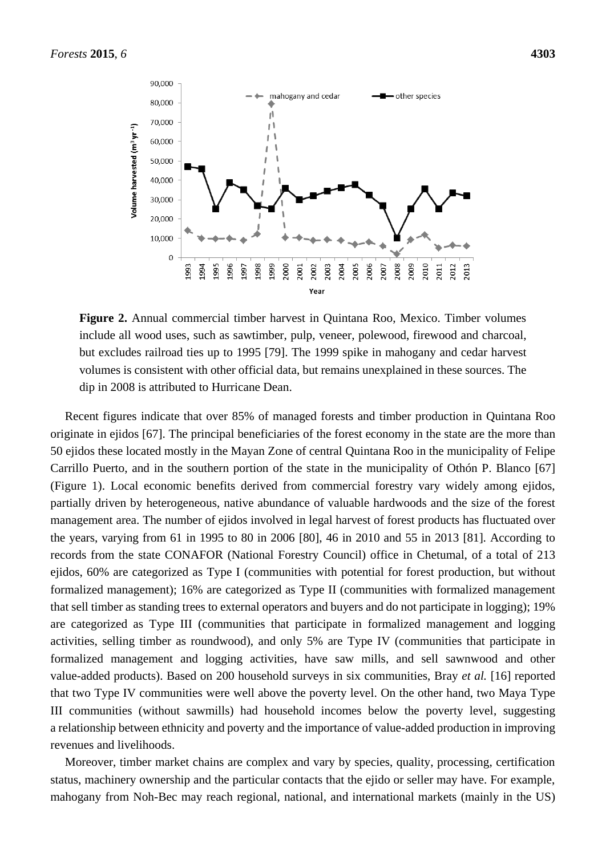

**Figure 2.** Annual commercial timber harvest in Quintana Roo, Mexico. Timber volumes include all wood uses, such as sawtimber, pulp, veneer, polewood, firewood and charcoal, but excludes railroad ties up to 1995 [79]. The 1999 spike in mahogany and cedar harvest volumes is consistent with other official data, but remains unexplained in these sources. The dip in 2008 is attributed to Hurricane Dean.

Recent figures indicate that over 85% of managed forests and timber production in Quintana Roo originate in ejidos [67]. The principal beneficiaries of the forest economy in the state are the more than 50 ejidos these located mostly in the Mayan Zone of central Quintana Roo in the municipality of Felipe Carrillo Puerto, and in the southern portion of the state in the municipality of Othón P. Blanco [67] (Figure 1). Local economic benefits derived from commercial forestry vary widely among ejidos, partially driven by heterogeneous, native abundance of valuable hardwoods and the size of the forest management area. The number of ejidos involved in legal harvest of forest products has fluctuated over the years, varying from 61 in 1995 to 80 in 2006 [80], 46 in 2010 and 55 in 2013 [81]. According to records from the state CONAFOR (National Forestry Council) office in Chetumal, of a total of 213 ejidos, 60% are categorized as Type I (communities with potential for forest production, but without formalized management); 16% are categorized as Type II (communities with formalized management that sell timber as standing trees to external operators and buyers and do not participate in logging); 19% are categorized as Type III (communities that participate in formalized management and logging activities, selling timber as roundwood), and only 5% are Type IV (communities that participate in formalized management and logging activities, have saw mills, and sell sawnwood and other value-added products). Based on 200 household surveys in six communities, Bray *et al.* [16] reported that two Type IV communities were well above the poverty level. On the other hand, two Maya Type III communities (without sawmills) had household incomes below the poverty level, suggesting a relationship between ethnicity and poverty and the importance of value-added production in improving revenues and livelihoods.

Moreover, timber market chains are complex and vary by species, quality, processing, certification status, machinery ownership and the particular contacts that the ejido or seller may have. For example, mahogany from Noh-Bec may reach regional, national, and international markets (mainly in the US)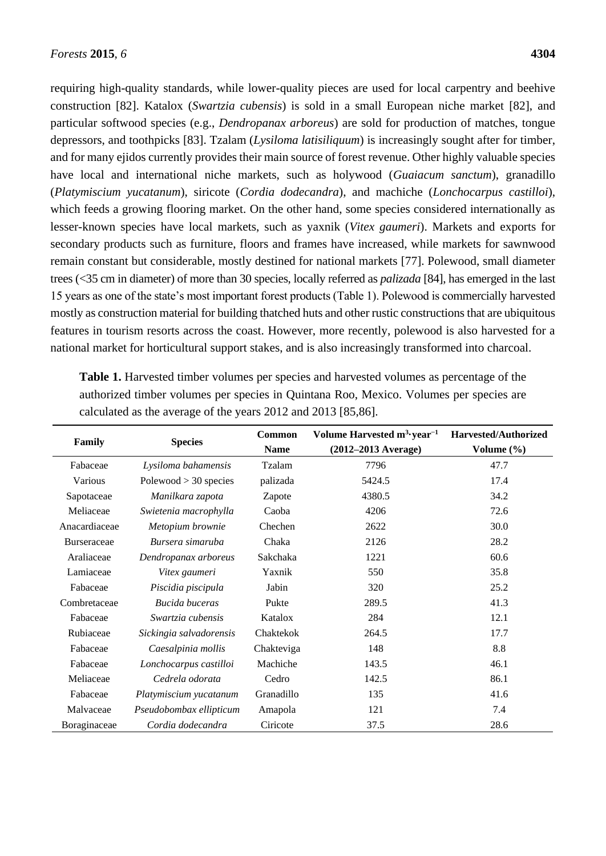requiring high-quality standards, while lower-quality pieces are used for local carpentry and beehive construction [82]. Katalox (*Swartzia cubensis*) is sold in a small European niche market [82], and particular softwood species (e.g., *Dendropanax arboreus*) are sold for production of matches, tongue depressors, and toothpicks [83]. Tzalam (*Lysiloma latisiliquum*) is increasingly sought after for timber, and for many ejidos currently provides their main source of forest revenue. Other highly valuable species have local and international niche markets, such as holywood (*Guaiacum sanctum*), granadillo (*Platymiscium yucatanum*), siricote (*Cordia dodecandra*), and machiche (*Lonchocarpus castilloi*), which feeds a growing flooring market. On the other hand, some species considered internationally as lesser-known species have local markets, such as yaxnik (*Vitex gaumeri*). Markets and exports for secondary products such as furniture, floors and frames have increased, while markets for sawnwood remain constant but considerable, mostly destined for national markets [77]. Polewood, small diameter trees (<35 cm in diameter) of more than 30 species, locally referred as *palizada* [84], has emerged in the last 15 years as one of the state's most important forest products (Table 1). Polewood is commercially harvested mostly as construction material for building thatched huts and other rustic constructions that are ubiquitous features in tourism resorts across the coast. However, more recently, polewood is also harvested for a national market for horticultural support stakes, and is also increasingly transformed into charcoal.

| Family             | <b>Species</b>          | <b>Common</b> | Volume Harvested m <sup>3</sup> year <sup>-1</sup> | Harvested/Authorized |
|--------------------|-------------------------|---------------|----------------------------------------------------|----------------------|
|                    |                         | <b>Name</b>   | $(2012 - 2013$ Average)                            | Volume $(\% )$       |
| Fabaceae           | Lysiloma bahamensis     | Tzalam        | 7796                                               | 47.7                 |
| Various            | $Polewood > 30$ species | palizada      | 5424.5                                             | 17.4                 |
| Sapotaceae         | Manilkara zapota        | Zapote        | 4380.5                                             | 34.2                 |
| Meliaceae          | Swietenia macrophylla   | Caoba         | 4206                                               | 72.6                 |
| Anacardiaceae      | Metopium brownie        | Chechen       | 2622                                               | 30.0                 |
| <b>Burseraceae</b> | Bursera simaruba        | Chaka         | 2126                                               | 28.2                 |
| Araliaceae         | Dendropanax arboreus    | Sakchaka      | 1221                                               | 60.6                 |
| Lamiaceae          | Vitex gaumeri           | Yaxnik        | 550                                                | 35.8                 |
| Fabaceae           | Piscidia piscipula      | Jabin         | 320                                                | 25.2                 |
| Combretaceae       | Bucida buceras          | Pukte         | 289.5                                              | 41.3                 |
| Fabaceae           | Swartzia cubensis       | Katalox       | 284                                                | 12.1                 |
| Rubiaceae          | Sickingia salvadorensis | Chaktekok     | 264.5                                              | 17.7                 |
| Fabaceae           | Caesalpinia mollis      | Chakteviga    | 148                                                | 8.8                  |
| Fabaceae           | Lonchocarpus castilloi  | Machiche      | 143.5                                              | 46.1                 |
| Meliaceae          | Cedrela odorata         | Cedro         | 142.5                                              | 86.1                 |
| Fabaceae           | Platymiscium yucatanum  | Granadillo    | 135                                                | 41.6                 |
| Malvaceae          | Pseudobombax ellipticum | Amapola       | 121                                                | 7.4                  |
| Boraginaceae       | Cordia dodecandra       | Ciricote      | 37.5                                               | 28.6                 |

**Table 1.** Harvested timber volumes per species and harvested volumes as percentage of the authorized timber volumes per species in Quintana Roo, Mexico. Volumes per species are calculated as the average of the years 2012 and 2013 [85,86].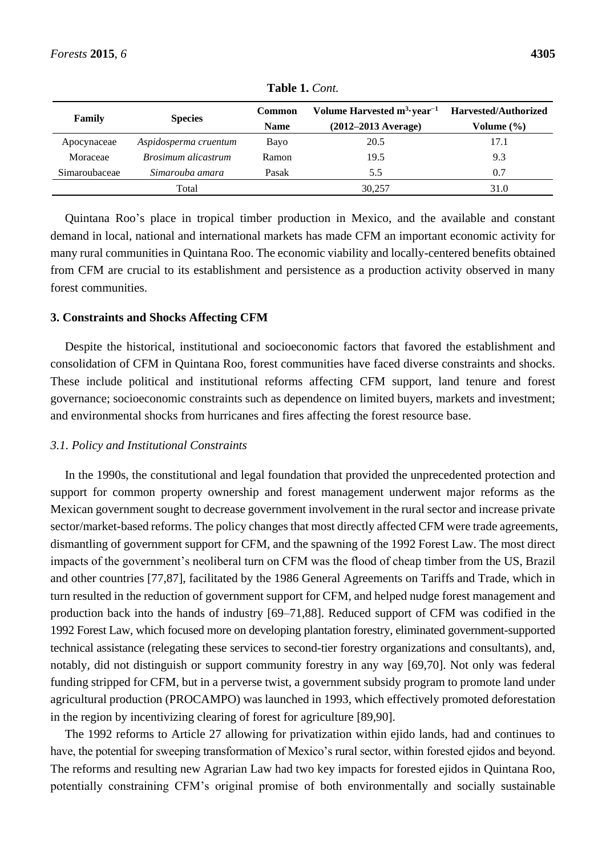| Family        | <b>Species</b>             | <b>Common</b><br><b>Name</b> | Volume Harvested $m^3$ year <sup>-1</sup><br>$(2012 - 2013$ Average) | <b>Harvested/Authorized</b><br>Volume (%) |
|---------------|----------------------------|------------------------------|----------------------------------------------------------------------|-------------------------------------------|
|               |                            |                              |                                                                      |                                           |
| Apocynaceae   | Aspidosperma cruentum      | Bayo                         | 20.5                                                                 | 17.1                                      |
| Moraceae      | <i>Brosimum alicastrum</i> | Ramon                        | 19.5                                                                 | 9.3                                       |
| Simaroubaceae | Simarouba amara            | Pasak                        | 5.5                                                                  | 0.7                                       |
|               | Total                      |                              | 30,257                                                               | 31.0                                      |

**Table 1.** *Cont.*

Quintana Roo's place in tropical timber production in Mexico, and the available and constant demand in local, national and international markets has made CFM an important economic activity for many rural communities in Quintana Roo. The economic viability and locally-centered benefits obtained from CFM are crucial to its establishment and persistence as a production activity observed in many forest communities.

# **3. Constraints and Shocks Affecting CFM**

Despite the historical, institutional and socioeconomic factors that favored the establishment and consolidation of CFM in Quintana Roo, forest communities have faced diverse constraints and shocks. These include political and institutional reforms affecting CFM support, land tenure and forest governance; socioeconomic constraints such as dependence on limited buyers, markets and investment; and environmental shocks from hurricanes and fires affecting the forest resource base.

## *3.1. Policy and Institutional Constraints*

In the 1990s, the constitutional and legal foundation that provided the unprecedented protection and support for common property ownership and forest management underwent major reforms as the Mexican government sought to decrease government involvement in the rural sector and increase private sector/market-based reforms. The policy changes that most directly affected CFM were trade agreements, dismantling of government support for CFM, and the spawning of the 1992 Forest Law. The most direct impacts of the government's neoliberal turn on CFM was the flood of cheap timber from the US, Brazil and other countries [77,87], facilitated by the 1986 General Agreements on Tariffs and Trade, which in turn resulted in the reduction of government support for CFM, and helped nudge forest management and production back into the hands of industry [69–71,88]. Reduced support of CFM was codified in the 1992 Forest Law, which focused more on developing plantation forestry, eliminated government-supported technical assistance (relegating these services to second-tier forestry organizations and consultants), and, notably, did not distinguish or support community forestry in any way [69,70]. Not only was federal funding stripped for CFM, but in a perverse twist, a government subsidy program to promote land under agricultural production (PROCAMPO) was launched in 1993, which effectively promoted deforestation in the region by incentivizing clearing of forest for agriculture [89,90].

The 1992 reforms to Article 27 allowing for privatization within ejido lands, had and continues to have, the potential for sweeping transformation of Mexico's rural sector, within forested ejidos and beyond. The reforms and resulting new Agrarian Law had two key impacts for forested ejidos in Quintana Roo, potentially constraining CFM's original promise of both environmentally and socially sustainable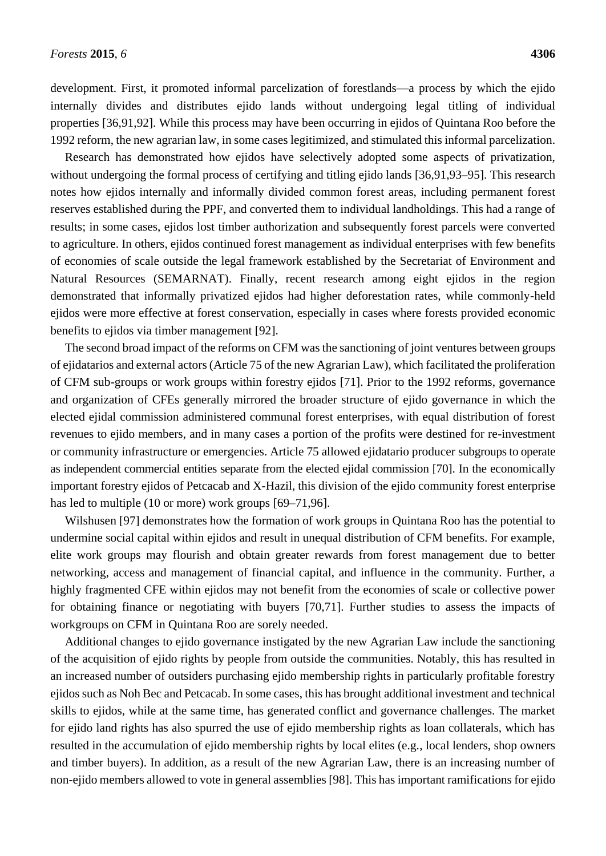development. First, it promoted informal parcelization of forestlands—a process by which the ejido internally divides and distributes ejido lands without undergoing legal titling of individual properties [36,91,92]. While this process may have been occurring in ejidos of Quintana Roo before the 1992 reform, the new agrarian law, in some cases legitimized, and stimulated this informal parcelization.

Research has demonstrated how ejidos have selectively adopted some aspects of privatization, without undergoing the formal process of certifying and titling ejido lands [36,91,93–95]. This research notes how ejidos internally and informally divided common forest areas, including permanent forest reserves established during the PPF, and converted them to individual landholdings. This had a range of results; in some cases, ejidos lost timber authorization and subsequently forest parcels were converted to agriculture. In others, ejidos continued forest management as individual enterprises with few benefits of economies of scale outside the legal framework established by the Secretariat of Environment and Natural Resources (SEMARNAT). Finally, recent research among eight ejidos in the region demonstrated that informally privatized ejidos had higher deforestation rates, while commonly-held ejidos were more effective at forest conservation, especially in cases where forests provided economic benefits to ejidos via timber management [92].

The second broad impact of the reforms on CFM was the sanctioning of joint ventures between groups of ejidatarios and external actors (Article 75 of the new Agrarian Law), which facilitated the proliferation of CFM sub-groups or work groups within forestry ejidos [71]. Prior to the 1992 reforms, governance and organization of CFEs generally mirrored the broader structure of ejido governance in which the elected ejidal commission administered communal forest enterprises, with equal distribution of forest revenues to ejido members, and in many cases a portion of the profits were destined for re-investment or community infrastructure or emergencies. Article 75 allowed ejidatario producer subgroups to operate as independent commercial entities separate from the elected ejidal commission [70]. In the economically important forestry ejidos of Petcacab and X-Hazil, this division of the ejido community forest enterprise has led to multiple (10 or more) work groups [69–71,96].

Wilshusen [97] demonstrates how the formation of work groups in Quintana Roo has the potential to undermine social capital within ejidos and result in unequal distribution of CFM benefits. For example, elite work groups may flourish and obtain greater rewards from forest management due to better networking, access and management of financial capital, and influence in the community. Further, a highly fragmented CFE within ejidos may not benefit from the economies of scale or collective power for obtaining finance or negotiating with buyers [70,71]. Further studies to assess the impacts of workgroups on CFM in Quintana Roo are sorely needed.

Additional changes to ejido governance instigated by the new Agrarian Law include the sanctioning of the acquisition of ejido rights by people from outside the communities. Notably, this has resulted in an increased number of outsiders purchasing ejido membership rights in particularly profitable forestry ejidos such as Noh Bec and Petcacab. In some cases, this has brought additional investment and technical skills to ejidos, while at the same time, has generated conflict and governance challenges. The market for ejido land rights has also spurred the use of ejido membership rights as loan collaterals, which has resulted in the accumulation of ejido membership rights by local elites (e.g., local lenders, shop owners and timber buyers). In addition, as a result of the new Agrarian Law, there is an increasing number of non-ejido members allowed to vote in general assemblies [98]. This has important ramifications for ejido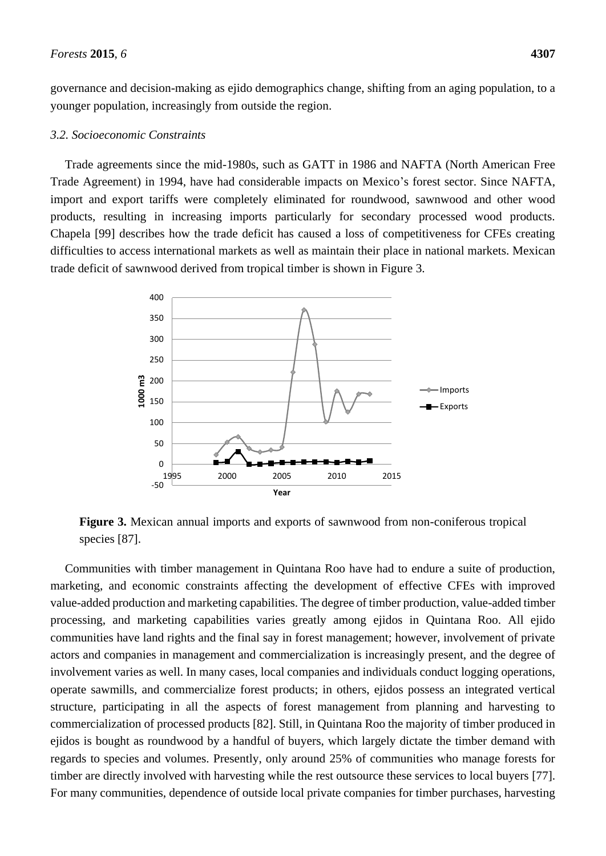governance and decision-making as ejido demographics change, shifting from an aging population, to a younger population, increasingly from outside the region.

#### *3.2. Socioeconomic Constraints*

Trade agreements since the mid-1980s, such as GATT in 1986 and NAFTA (North American Free Trade Agreement) in 1994, have had considerable impacts on Mexico's forest sector. Since NAFTA, import and export tariffs were completely eliminated for roundwood, sawnwood and other wood products, resulting in increasing imports particularly for secondary processed wood products. Chapela [99] describes how the trade deficit has caused a loss of competitiveness for CFEs creating difficulties to access international markets as well as maintain their place in national markets. Mexican trade deficit of sawnwood derived from tropical timber is shown in Figure 3.



**Figure 3.** Mexican annual imports and exports of sawnwood from non-coniferous tropical species [87].

Communities with timber management in Quintana Roo have had to endure a suite of production, marketing, and economic constraints affecting the development of effective CFEs with improved value-added production and marketing capabilities. The degree of timber production, value-added timber processing, and marketing capabilities varies greatly among ejidos in Quintana Roo. All ejido communities have land rights and the final say in forest management; however, involvement of private actors and companies in management and commercialization is increasingly present, and the degree of involvement varies as well. In many cases, local companies and individuals conduct logging operations, operate sawmills, and commercialize forest products; in others, ejidos possess an integrated vertical structure, participating in all the aspects of forest management from planning and harvesting to commercialization of processed products [82]. Still, in Quintana Roo the majority of timber produced in ejidos is bought as roundwood by a handful of buyers, which largely dictate the timber demand with regards to species and volumes. Presently, only around 25% of communities who manage forests for timber are directly involved with harvesting while the rest outsource these services to local buyers [77]. For many communities, dependence of outside local private companies for timber purchases, harvesting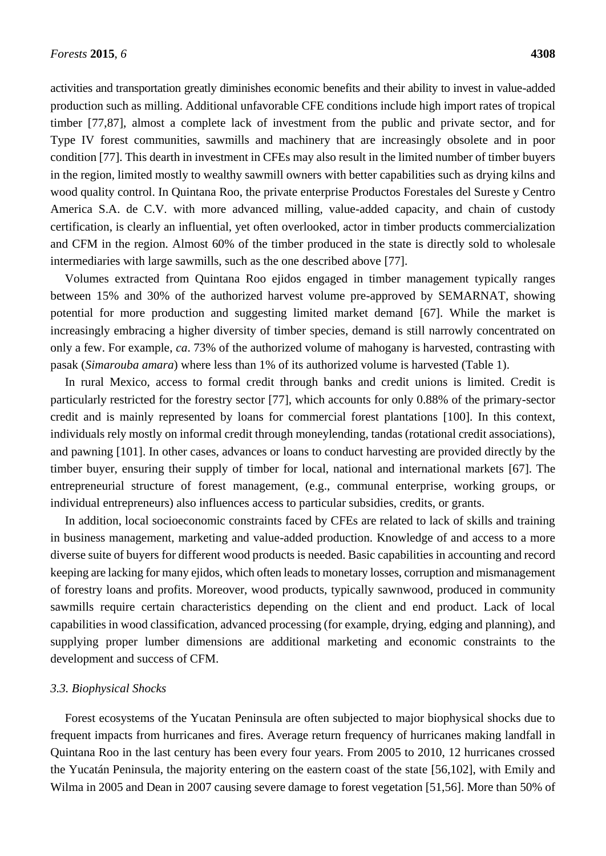activities and transportation greatly diminishes economic benefits and their ability to invest in value-added production such as milling. Additional unfavorable CFE conditions include high import rates of tropical timber [77,87], almost a complete lack of investment from the public and private sector, and for Type IV forest communities, sawmills and machinery that are increasingly obsolete and in poor condition [77]. This dearth in investment in CFEs may also result in the limited number of timber buyers in the region, limited mostly to wealthy sawmill owners with better capabilities such as drying kilns and wood quality control. In Quintana Roo, the private enterprise Productos Forestales del Sureste y Centro America S.A. de C.V. with more advanced milling, value-added capacity, and chain of custody certification, is clearly an influential, yet often overlooked, actor in timber products commercialization and CFM in the region. Almost 60% of the timber produced in the state is directly sold to wholesale intermediaries with large sawmills, such as the one described above [77].

Volumes extracted from Quintana Roo ejidos engaged in timber management typically ranges between 15% and 30% of the authorized harvest volume pre-approved by SEMARNAT, showing potential for more production and suggesting limited market demand [67]. While the market is increasingly embracing a higher diversity of timber species, demand is still narrowly concentrated on only a few. For example, *ca*. 73% of the authorized volume of mahogany is harvested, contrasting with pasak (*Simarouba amara*) where less than 1% of its authorized volume is harvested (Table 1).

In rural Mexico, access to formal credit through banks and credit unions is limited. Credit is particularly restricted for the forestry sector [77], which accounts for only 0.88% of the primary-sector credit and is mainly represented by loans for commercial forest plantations [100]. In this context, individuals rely mostly on informal credit through moneylending, tandas (rotational credit associations), and pawning [101]. In other cases, advances or loans to conduct harvesting are provided directly by the timber buyer, ensuring their supply of timber for local, national and international markets [67]. The entrepreneurial structure of forest management, (e.g., communal enterprise, working groups, or individual entrepreneurs) also influences access to particular subsidies, credits, or grants.

In addition, local socioeconomic constraints faced by CFEs are related to lack of skills and training in business management, marketing and value-added production. Knowledge of and access to a more diverse suite of buyers for different wood products is needed. Basic capabilities in accounting and record keeping are lacking for many ejidos, which often leads to monetary losses, corruption and mismanagement of forestry loans and profits. Moreover, wood products, typically sawnwood, produced in community sawmills require certain characteristics depending on the client and end product. Lack of local capabilities in wood classification, advanced processing (for example, drying, edging and planning), and supplying proper lumber dimensions are additional marketing and economic constraints to the development and success of CFM.

## *3.3. Biophysical Shocks*

Forest ecosystems of the Yucatan Peninsula are often subjected to major biophysical shocks due to frequent impacts from hurricanes and fires. Average return frequency of hurricanes making landfall in Quintana Roo in the last century has been every four years. From 2005 to 2010, 12 hurricanes crossed the Yucatán Peninsula, the majority entering on the eastern coast of the state [56,102], with Emily and Wilma in 2005 and Dean in 2007 causing severe damage to forest vegetation [51,56]. More than 50% of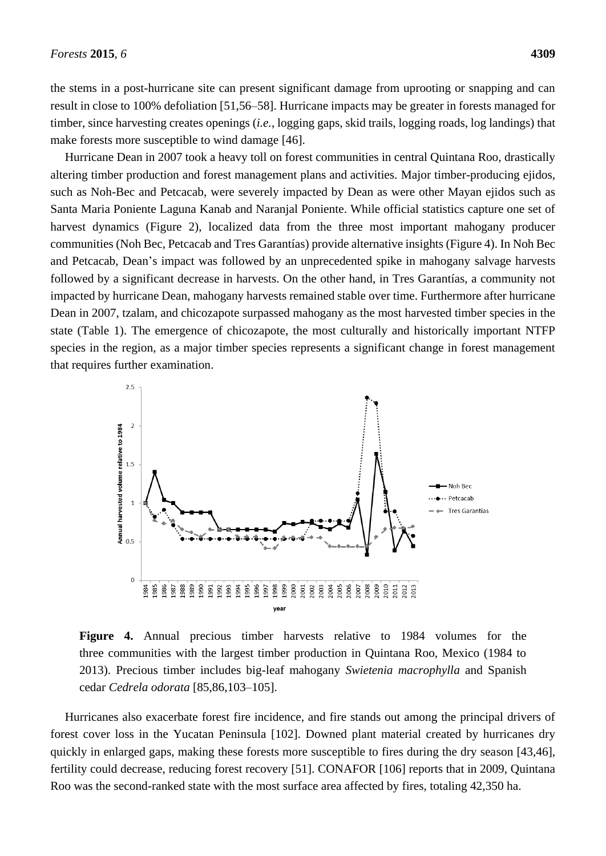the stems in a post-hurricane site can present significant damage from uprooting or snapping and can result in close to 100% defoliation [51,56–58]. Hurricane impacts may be greater in forests managed for timber, since harvesting creates openings (*i.e.*, logging gaps, skid trails, logging roads, log landings) that make forests more susceptible to wind damage [46].

Hurricane Dean in 2007 took a heavy toll on forest communities in central Quintana Roo, drastically altering timber production and forest management plans and activities*.* Major timber-producing ejidos, such as Noh-Bec and Petcacab, were severely impacted by Dean as were other Mayan ejidos such as Santa Maria Poniente Laguna Kanab and Naranjal Poniente. While official statistics capture one set of harvest dynamics (Figure 2), localized data from the three most important mahogany producer communities (Noh Bec, Petcacab and Tres Garant as) provide alternative insights (Figure 4). In Noh Bec and Petcacab, Dean's impact was followed by an unprecedented spike in mahogany salvage harvests followed by a significant decrease in harvests. On the other hand, in Tres Garant as, a community not impacted by hurricane Dean, mahogany harvests remained stable over time. Furthermore after hurricane Dean in 2007, tzalam, and chicozapote surpassed mahogany as the most harvested timber species in the state (Table 1). The emergence of chicozapote, the most culturally and historically important NTFP species in the region, as a major timber species represents a significant change in forest management that requires further examination.



**Figure 4.** Annual precious timber harvests relative to 1984 volumes for the three communities with the largest timber production in Quintana Roo, Mexico (1984 to 2013). Precious timber includes big-leaf mahogany *Swietenia macrophylla* and Spanish cedar *Cedrela odorata* [85,86,103–105].

Hurricanes also exacerbate forest fire incidence, and fire stands out among the principal drivers of forest cover loss in the Yucatan Peninsula [102]. Downed plant material created by hurricanes dry quickly in enlarged gaps, making these forests more susceptible to fires during the dry season [43,46], fertility could decrease, reducing forest recovery [51]. CONAFOR [106] reports that in 2009, Quintana Roo was the second-ranked state with the most surface area affected by fires, totaling 42,350 ha.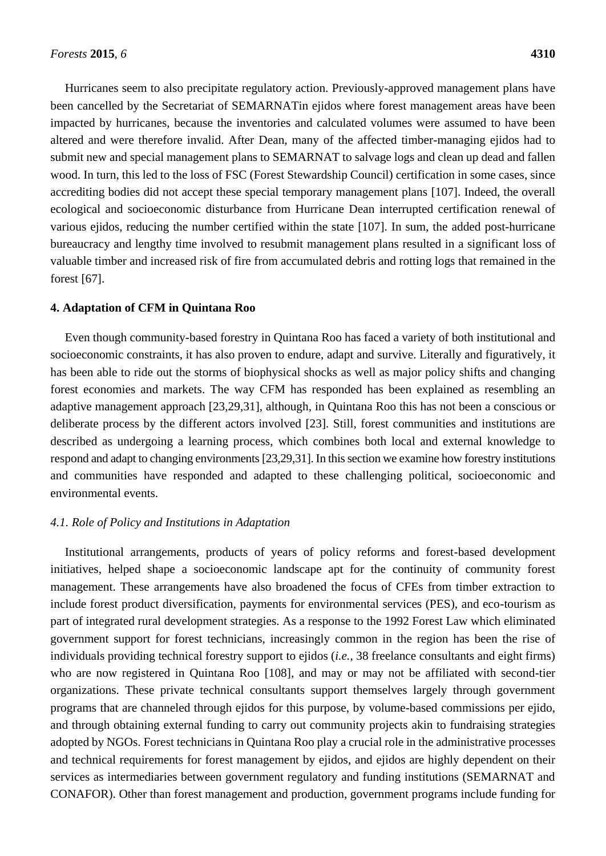Hurricanes seem to also precipitate regulatory action. Previously-approved management plans have been cancelled by the Secretariat of SEMARNATin ejidos where forest management areas have been impacted by hurricanes, because the inventories and calculated volumes were assumed to have been altered and were therefore invalid. After Dean, many of the affected timber-managing ejidos had to submit new and special management plans to SEMARNAT to salvage logs and clean up dead and fallen wood. In turn, this led to the loss of FSC (Forest Stewardship Council) certification in some cases, since accrediting bodies did not accept these special temporary management plans [107]. Indeed, the overall ecological and socioeconomic disturbance from Hurricane Dean interrupted certification renewal of various ejidos, reducing the number certified within the state [107]. In sum, the added post-hurricane bureaucracy and lengthy time involved to resubmit management plans resulted in a significant loss of valuable timber and increased risk of fire from accumulated debris and rotting logs that remained in the forest [67].

#### **4. Adaptation of CFM in Quintana Roo**

Even though community-based forestry in Quintana Roo has faced a variety of both institutional and socioeconomic constraints, it has also proven to endure, adapt and survive. Literally and figuratively, it has been able to ride out the storms of biophysical shocks as well as major policy shifts and changing forest economies and markets. The way CFM has responded has been explained as resembling an adaptive management approach [23,29,31], although, in Quintana Roo this has not been a conscious or deliberate process by the different actors involved [23]. Still, forest communities and institutions are described as undergoing a learning process, which combines both local and external knowledge to respond and adapt to changing environments[23,29,31]. In this section we examine how forestry institutions and communities have responded and adapted to these challenging political, socioeconomic and environmental events.

## *4.1. Role of Policy and Institutions in Adaptation*

Institutional arrangements, products of years of policy reforms and forest-based development initiatives, helped shape a socioeconomic landscape apt for the continuity of community forest management. These arrangements have also broadened the focus of CFEs from timber extraction to include forest product diversification, payments for environmental services (PES), and eco-tourism as part of integrated rural development strategies. As a response to the 1992 Forest Law which eliminated government support for forest technicians, increasingly common in the region has been the rise of individuals providing technical forestry support to ejidos (*i.e.*, 38 freelance consultants and eight firms) who are now registered in Quintana Roo [108], and may or may not be affiliated with second-tier organizations. These private technical consultants support themselves largely through government programs that are channeled through ejidos for this purpose, by volume-based commissions per ejido, and through obtaining external funding to carry out community projects akin to fundraising strategies adopted by NGOs. Forest technicians in Quintana Roo play a crucial role in the administrative processes and technical requirements for forest management by ejidos, and ejidos are highly dependent on their services as intermediaries between government regulatory and funding institutions (SEMARNAT and CONAFOR). Other than forest management and production, government programs include funding for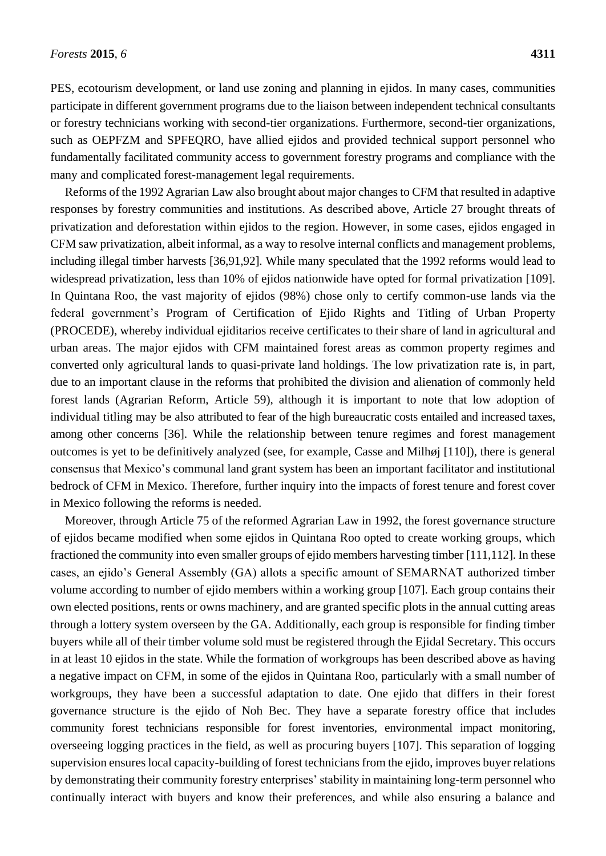PES, ecotourism development, or land use zoning and planning in ejidos. In many cases, communities participate in different government programs due to the liaison between independent technical consultants or forestry technicians working with second-tier organizations. Furthermore, second-tier organizations, such as OEPFZM and SPFEQRO, have allied ejidos and provided technical support personnel who fundamentally facilitated community access to government forestry programs and compliance with the many and complicated forest-management legal requirements.

Reforms of the 1992 Agrarian Law also brought about major changes to CFM that resulted in adaptive responses by forestry communities and institutions. As described above, Article 27 brought threats of privatization and deforestation within ejidos to the region. However, in some cases, ejidos engaged in CFM saw privatization, albeit informal, as a way to resolve internal conflicts and management problems, including illegal timber harvests [36,91,92]. While many speculated that the 1992 reforms would lead to widespread privatization, less than 10% of ejidos nationwide have opted for formal privatization [109]. In Quintana Roo, the vast majority of ejidos (98%) chose only to certify common-use lands via the federal government's Program of Certification of Ejido Rights and Titling of Urban Property (PROCEDE), whereby individual ejiditarios receive certificates to their share of land in agricultural and urban areas. The major ejidos with CFM maintained forest areas as common property regimes and converted only agricultural lands to quasi-private land holdings. The low privatization rate is, in part, due to an important clause in the reforms that prohibited the division and alienation of commonly held forest lands (Agrarian Reform, Article 59), although it is important to note that low adoption of individual titling may be also attributed to fear of the high bureaucratic costs entailed and increased taxes, among other concerns [36]. While the relationship between tenure regimes and forest management outcomes is yet to be definitively analyzed (see, for example, Casse and Milhøj [110]), there is general consensus that Mexico's communal land grant system has been an important facilitator and institutional bedrock of CFM in Mexico. Therefore, further inquiry into the impacts of forest tenure and forest cover in Mexico following the reforms is needed.

Moreover, through Article 75 of the reformed Agrarian Law in 1992, the forest governance structure of ejidos became modified when some ejidos in Quintana Roo opted to create working groups, which fractioned the community into even smaller groups of ejido members harvesting timber [111,112]. In these cases, an ejido's General Assembly (GA) allots a specific amount of SEMARNAT authorized timber volume according to number of ejido members within a working group [107]. Each group contains their own elected positions, rents or owns machinery, and are granted specific plots in the annual cutting areas through a lottery system overseen by the GA. Additionally, each group is responsible for finding timber buyers while all of their timber volume sold must be registered through the Ejidal Secretary. This occurs in at least 10 ejidos in the state. While the formation of workgroups has been described above as having a negative impact on CFM, in some of the ejidos in Quintana Roo, particularly with a small number of workgroups, they have been a successful adaptation to date. One ejido that differs in their forest governance structure is the ejido of Noh Bec. They have a separate forestry office that includes community forest technicians responsible for forest inventories, environmental impact monitoring, overseeing logging practices in the field, as well as procuring buyers [107]. This separation of logging supervision ensures local capacity-building of forest technicians from the ejido, improves buyer relations by demonstrating their community forestry enterprises' stability in maintaining long-term personnel who continually interact with buyers and know their preferences, and while also ensuring a balance and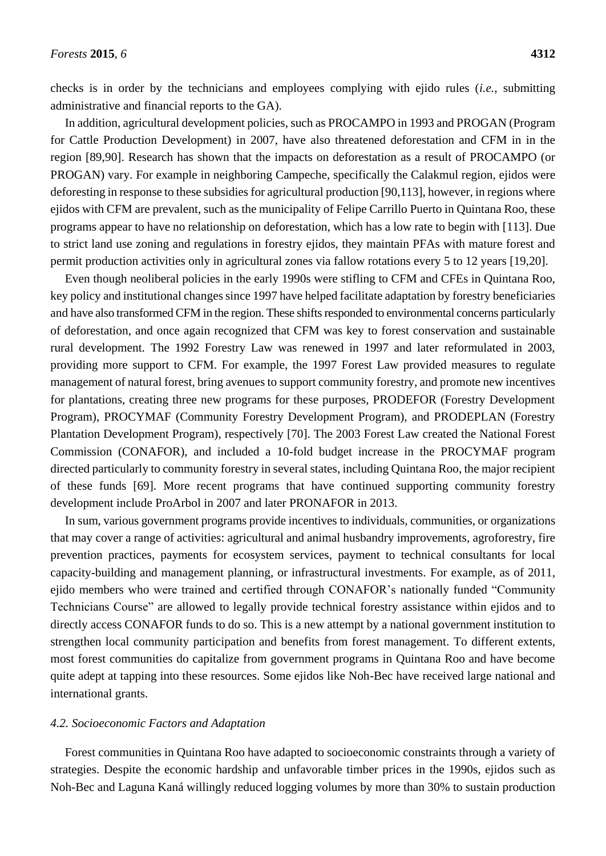In addition, agricultural development policies, such as PROCAMPO in 1993 and PROGAN (Program for Cattle Production Development) in 2007, have also threatened deforestation and CFM in in the region [89,90]. Research has shown that the impacts on deforestation as a result of PROCAMPO (or PROGAN) vary. For example in neighboring Campeche, specifically the Calakmul region, ejidos were deforesting in response to these subsidies for agricultural production [90,113], however, in regions where ejidos with CFM are prevalent, such as the municipality of Felipe Carrillo Puerto in Quintana Roo, these programs appear to have no relationship on deforestation, which has a low rate to begin with [113]. Due to strict land use zoning and regulations in forestry ejidos, they maintain PFAs with mature forest and permit production activities only in agricultural zones via fallow rotations every 5 to 12 years [19,20].

Even though neoliberal policies in the early 1990s were stifling to CFM and CFEs in Quintana Roo, key policy and institutional changes since 1997 have helped facilitate adaptation by forestry beneficiaries and have also transformed CFM in the region. These shifts responded to environmental concerns particularly of deforestation, and once again recognized that CFM was key to forest conservation and sustainable rural development. The 1992 Forestry Law was renewed in 1997 and later reformulated in 2003, providing more support to CFM. For example, the 1997 Forest Law provided measures to regulate management of natural forest, bring avenues to support community forestry, and promote new incentives for plantations, creating three new programs for these purposes, PRODEFOR (Forestry Development Program), PROCYMAF (Community Forestry Development Program), and PRODEPLAN (Forestry Plantation Development Program), respectively [70]. The 2003 Forest Law created the National Forest Commission (CONAFOR), and included a 10-fold budget increase in the PROCYMAF program directed particularly to community forestry in several states, including Quintana Roo, the major recipient of these funds [69]. More recent programs that have continued supporting community forestry development include ProArbol in 2007 and later PRONAFOR in 2013.

In sum, various government programs provide incentives to individuals, communities, or organizations that may cover a range of activities: agricultural and animal husbandry improvements, agroforestry, fire prevention practices, payments for ecosystem services, payment to technical consultants for local capacity-building and management planning, or infrastructural investments. For example, as of 2011, ejido members who were trained and certified through CONAFOR's nationally funded "Community Technicians Course" are allowed to legally provide technical forestry assistance within ejidos and to directly access CONAFOR funds to do so. This is a new attempt by a national government institution to strengthen local community participation and benefits from forest management. To different extents, most forest communities do capitalize from government programs in Quintana Roo and have become quite adept at tapping into these resources. Some ejidos like Noh-Bec have received large national and international grants.

## *4.2. Socioeconomic Factors and Adaptation*

Forest communities in Quintana Roo have adapted to socioeconomic constraints through a variety of strategies. Despite the economic hardship and unfavorable timber prices in the 1990s, ejidos such as Noh-Bec and Laguna Kanáwillingly reduced logging volumes by more than 30% to sustain production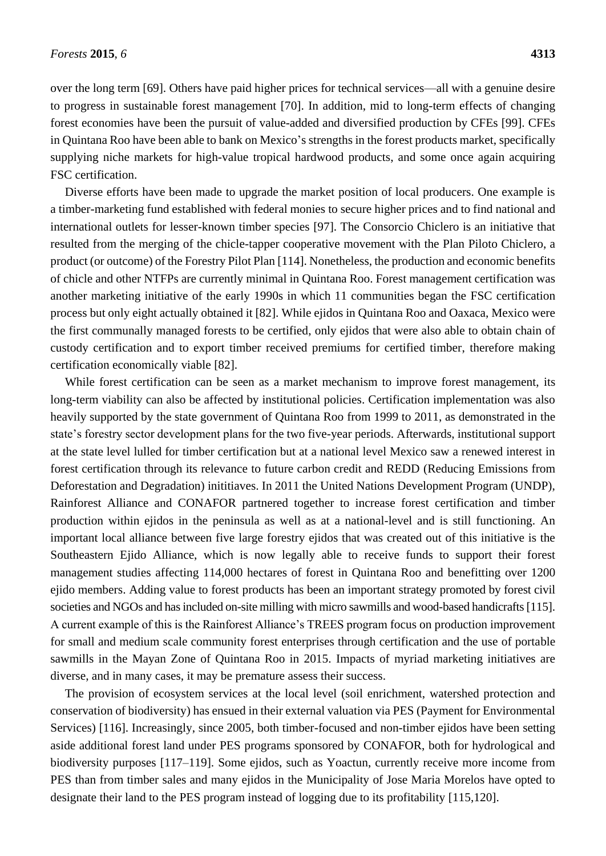over the long term [69]. Others have paid higher prices for technical services—all with a genuine desire to progress in sustainable forest management [70]. In addition, mid to long-term effects of changing forest economies have been the pursuit of value-added and diversified production by CFEs [99]. CFEs in Quintana Roo have been able to bank on Mexico's strengths in the forest products market, specifically supplying niche markets for high-value tropical hardwood products, and some once again acquiring FSC certification.

Diverse efforts have been made to upgrade the market position of local producers. One example is a timber-marketing fund established with federal monies to secure higher prices and to find national and international outlets for lesser-known timber species [97]. The Consorcio Chiclero is an initiative that resulted from the merging of the chicle-tapper cooperative movement with the Plan Piloto Chiclero, a product (or outcome) of the Forestry Pilot Plan [114]. Nonetheless, the production and economic benefits of chicle and other NTFPs are currently minimal in Quintana Roo. Forest management certification was another marketing initiative of the early 1990s in which 11 communities began the FSC certification process but only eight actually obtained it [82]. While ejidos in Quintana Roo and Oaxaca, Mexico were the first communally managed forests to be certified, only ejidos that were also able to obtain chain of custody certification and to export timber received premiums for certified timber, therefore making certification economically viable [82].

While forest certification can be seen as a market mechanism to improve forest management, its long-term viability can also be affected by institutional policies. Certification implementation was also heavily supported by the state government of Quintana Roo from 1999 to 2011, as demonstrated in the state's forestry sector development plans for the two five-year periods. Afterwards, institutional support at the state level lulled for timber certification but at a national level Mexico saw a renewed interest in forest certification through its relevance to future carbon credit and REDD (Reducing Emissions from Deforestation and Degradation) inititiaves. In 2011 the United Nations Development Program (UNDP), Rainforest Alliance and CONAFOR partnered together to increase forest certification and timber production within ejidos in the peninsula as well as at a national-level and is still functioning. An important local alliance between five large forestry ejidos that was created out of this initiative is the Southeastern Ejido Alliance, which is now legally able to receive funds to support their forest management studies affecting 114,000 hectares of forest in Quintana Roo and benefitting over 1200 ejido members. Adding value to forest products has been an important strategy promoted by forest civil societies and NGOs and has included on-site milling with micro sawmills and wood-based handicrafts [115]. A current example of this is the Rainforest Alliance's TREES program focus on production improvement for small and medium scale community forest enterprises through certification and the use of portable sawmills in the Mayan Zone of Quintana Roo in 2015. Impacts of myriad marketing initiatives are diverse, and in many cases, it may be premature assess their success.

The provision of ecosystem services at the local level (soil enrichment, watershed protection and conservation of biodiversity) has ensued in their external valuation via PES (Payment for Environmental Services) [116]. Increasingly, since 2005, both timber-focused and non-timber ejidos have been setting aside additional forest land under PES programs sponsored by CONAFOR, both for hydrological and biodiversity purposes [117–119]. Some ejidos, such as Yoactun, currently receive more income from PES than from timber sales and many ejidos in the Municipality of Jose Maria Morelos have opted to designate their land to the PES program instead of logging due to its profitability [115,120].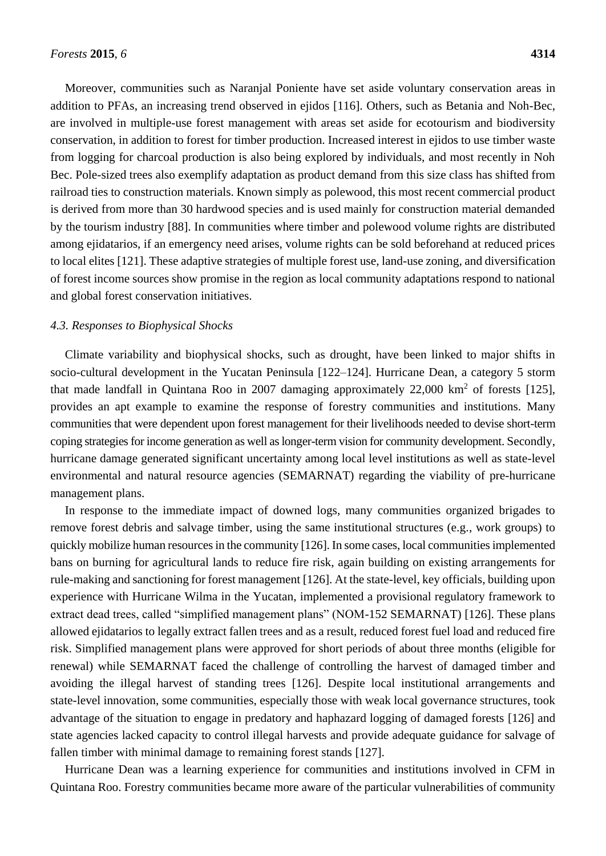Moreover, communities such as Naranjal Poniente have set aside voluntary conservation areas in addition to PFAs, an increasing trend observed in ejidos [116]. Others, such as Betania and Noh-Bec, are involved in multiple-use forest management with areas set aside for ecotourism and biodiversity conservation, in addition to forest for timber production. Increased interest in ejidos to use timber waste from logging for charcoal production is also being explored by individuals, and most recently in Noh Bec. Pole-sized trees also exemplify adaptation as product demand from this size class has shifted from railroad ties to construction materials. Known simply as polewood, this most recent commercial product is derived from more than 30 hardwood species and is used mainly for construction material demanded by the tourism industry [88]. In communities where timber and polewood volume rights are distributed among ejidatarios, if an emergency need arises, volume rights can be sold beforehand at reduced prices to local elites [121]. These adaptive strategies of multiple forest use, land-use zoning, and diversification of forest income sources show promise in the region as local community adaptations respond to national and global forest conservation initiatives.

#### *4.3. Responses to Biophysical Shocks*

Climate variability and biophysical shocks, such as drought, have been linked to major shifts in socio-cultural development in the Yucatan Peninsula [122–124]. Hurricane Dean, a category 5 storm that made landfall in Quintana Roo in 2007 damaging approximately  $22,000 \text{ km}^2$  of forests [125], provides an apt example to examine the response of forestry communities and institutions. Many communities that were dependent upon forest management for their livelihoods needed to devise short-term coping strategies for income generation as well as longer-term vision for community development. Secondly, hurricane damage generated significant uncertainty among local level institutions as well as state-level environmental and natural resource agencies (SEMARNAT) regarding the viability of pre-hurricane management plans.

In response to the immediate impact of downed logs, many communities organized brigades to remove forest debris and salvage timber, using the same institutional structures (e.g., work groups) to quickly mobilize human resources in the community [126]. In some cases, local communities implemented bans on burning for agricultural lands to reduce fire risk, again building on existing arrangements for rule-making and sanctioning for forest management [126]. At the state-level, key officials, building upon experience with Hurricane Wilma in the Yucatan, implemented a provisional regulatory framework to extract dead trees, called "simplified management plans" (NOM-152 SEMARNAT) [126]. These plans allowed ejidatarios to legally extract fallen trees and as a result, reduced forest fuel load and reduced fire risk. Simplified management plans were approved for short periods of about three months (eligible for renewal) while SEMARNAT faced the challenge of controlling the harvest of damaged timber and avoiding the illegal harvest of standing trees [126]. Despite local institutional arrangements and state-level innovation, some communities, especially those with weak local governance structures, took advantage of the situation to engage in predatory and haphazard logging of damaged forests [126] and state agencies lacked capacity to control illegal harvests and provide adequate guidance for salvage of fallen timber with minimal damage to remaining forest stands [127].

Hurricane Dean was a learning experience for communities and institutions involved in CFM in Quintana Roo. Forestry communities became more aware of the particular vulnerabilities of community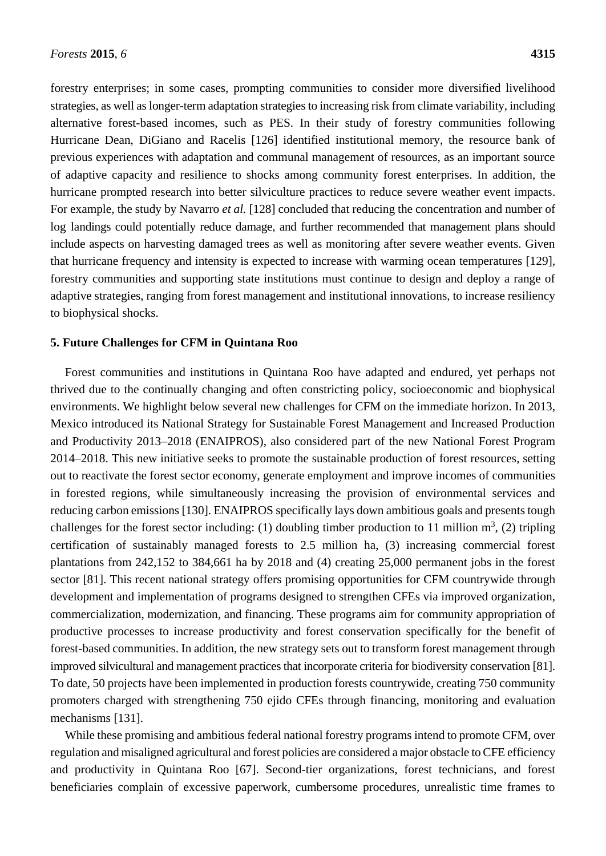forestry enterprises; in some cases, prompting communities to consider more diversified livelihood strategies, as well as longer-term adaptation strategies to increasing risk from climate variability, including alternative forest-based incomes, such as PES. In their study of forestry communities following Hurricane Dean, DiGiano and Racelis [126] identified institutional memory, the resource bank of previous experiences with adaptation and communal management of resources, as an important source of adaptive capacity and resilience to shocks among community forest enterprises. In addition, the hurricane prompted research into better silviculture practices to reduce severe weather event impacts. For example, the study by Navarro *et al.* [128] concluded that reducing the concentration and number of log landings could potentially reduce damage, and further recommended that management plans should include aspects on harvesting damaged trees as well as monitoring after severe weather events. Given that hurricane frequency and intensity is expected to increase with warming ocean temperatures [129], forestry communities and supporting state institutions must continue to design and deploy a range of adaptive strategies, ranging from forest management and institutional innovations, to increase resiliency to biophysical shocks.

#### **5. Future Challenges for CFM in Quintana Roo**

Forest communities and institutions in Quintana Roo have adapted and endured, yet perhaps not thrived due to the continually changing and often constricting policy, socioeconomic and biophysical environments. We highlight below several new challenges for CFM on the immediate horizon. In 2013, Mexico introduced its National Strategy for Sustainable Forest Management and Increased Production and Productivity 2013–2018 (ENAIPROS), also considered part of the new National Forest Program 2014–2018. This new initiative seeks to promote the sustainable production of forest resources, setting out to reactivate the forest sector economy, generate employment and improve incomes of communities in forested regions, while simultaneously increasing the provision of environmental services and reducing carbon emissions [130]. ENAIPROS specifically lays down ambitious goals and presents tough challenges for the forest sector including: (1) doubling timber production to 11 million  $m^3$ , (2) tripling certification of sustainably managed forests to 2.5 million ha, (3) increasing commercial forest plantations from 242,152 to 384,661 ha by 2018 and (4) creating 25,000 permanent jobs in the forest sector [81]. This recent national strategy offers promising opportunities for CFM countrywide through development and implementation of programs designed to strengthen CFEs via improved organization, commercialization, modernization, and financing. These programs aim for community appropriation of productive processes to increase productivity and forest conservation specifically for the benefit of forest-based communities. In addition, the new strategy sets out to transform forest management through improved silvicultural and management practices that incorporate criteria for biodiversity conservation [81]. To date, 50 projects have been implemented in production forests countrywide, creating 750 community promoters charged with strengthening 750 ejido CFEs through financing, monitoring and evaluation mechanisms [131].

While these promising and ambitious federal national forestry programs intend to promote CFM, over regulation and misaligned agricultural and forest policies are considered a major obstacle to CFE efficiency and productivity in Quintana Roo [67]. Second-tier organizations, forest technicians, and forest beneficiaries complain of excessive paperwork, cumbersome procedures, unrealistic time frames to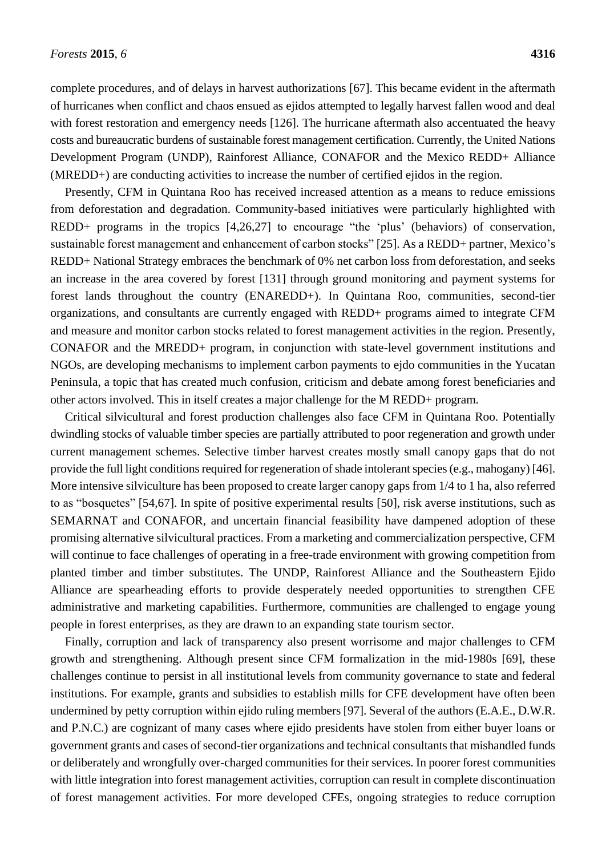complete procedures, and of delays in harvest authorizations [67]. This became evident in the aftermath of hurricanes when conflict and chaos ensued as ejidos attempted to legally harvest fallen wood and deal with forest restoration and emergency needs [126]. The hurricane aftermath also accentuated the heavy costs and bureaucratic burdens of sustainable forest management certification. Currently, the United Nations Development Program (UNDP), Rainforest Alliance, CONAFOR and the Mexico REDD+ Alliance (MREDD+) are conducting activities to increase the number of certified ejidos in the region.

Presently, CFM in Quintana Roo has received increased attention as a means to reduce emissions from deforestation and degradation. Community-based initiatives were particularly highlighted with REDD+ programs in the tropics [4,26,27] to encourage "the 'plus' (behaviors) of conservation, sustainable forest management and enhancement of carbon stocks" [25]. As a REDD+ partner, Mexico's REDD+ National Strategy embraces the benchmark of 0% net carbon loss from deforestation, and seeks an increase in the area covered by forest [131] through ground monitoring and payment systems for forest lands throughout the country (ENAREDD+). In Quintana Roo, communities, second-tier organizations, and consultants are currently engaged with REDD+ programs aimed to integrate CFM and measure and monitor carbon stocks related to forest management activities in the region. Presently, CONAFOR and the MREDD+ program, in conjunction with state-level government institutions and NGOs, are developing mechanisms to implement carbon payments to ejdo communities in the Yucatan Peninsula, a topic that has created much confusion, criticism and debate among forest beneficiaries and other actors involved. This in itself creates a major challenge for the M REDD+ program.

Critical silvicultural and forest production challenges also face CFM in Quintana Roo. Potentially dwindling stocks of valuable timber species are partially attributed to poor regeneration and growth under current management schemes. Selective timber harvest creates mostly small canopy gaps that do not provide the full light conditions required for regeneration of shade intolerant species (e.g., mahogany) [46]. More intensive silviculture has been proposed to create larger canopy gaps from 1/4 to 1 ha, also referred to as "bosquetes" [54,67]. In spite of positive experimental results [50], risk averse institutions, such as SEMARNAT and CONAFOR, and uncertain financial feasibility have dampened adoption of these promising alternative silvicultural practices. From a marketing and commercialization perspective, CFM will continue to face challenges of operating in a free-trade environment with growing competition from planted timber and timber substitutes. The UNDP, Rainforest Alliance and the Southeastern Ejido Alliance are spearheading efforts to provide desperately needed opportunities to strengthen CFE administrative and marketing capabilities. Furthermore, communities are challenged to engage young people in forest enterprises, as they are drawn to an expanding state tourism sector.

Finally, corruption and lack of transparency also present worrisome and major challenges to CFM growth and strengthening. Although present since CFM formalization in the mid-1980s [69], these challenges continue to persist in all institutional levels from community governance to state and federal institutions. For example, grants and subsidies to establish mills for CFE development have often been undermined by petty corruption within ejido ruling members [97]. Several of the authors (E.A.E., D.W.R. and P.N.C.) are cognizant of many cases where ejido presidents have stolen from either buyer loans or government grants and cases of second-tier organizations and technical consultants that mishandled funds or deliberately and wrongfully over-charged communities for their services. In poorer forest communities with little integration into forest management activities, corruption can result in complete discontinuation of forest management activities. For more developed CFEs, ongoing strategies to reduce corruption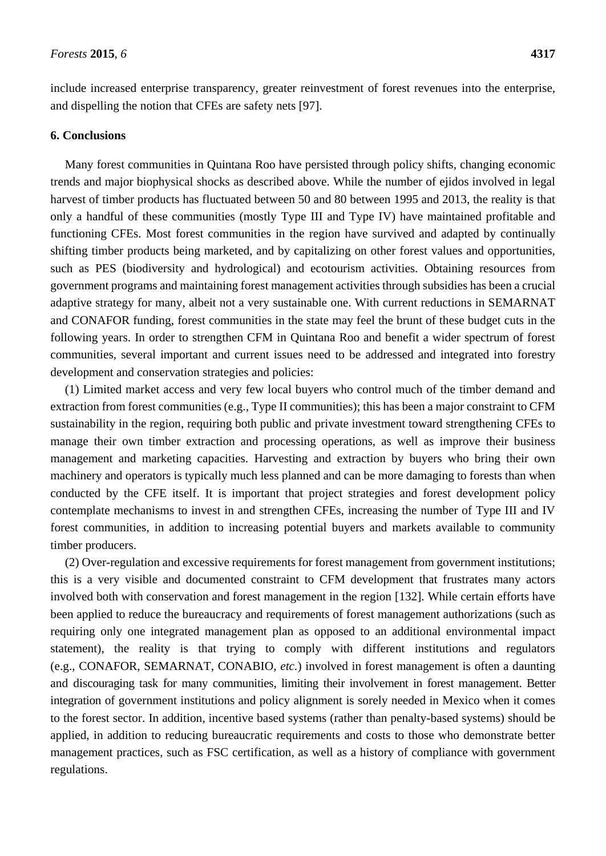include increased enterprise transparency, greater reinvestment of forest revenues into the enterprise, and dispelling the notion that CFEs are safety nets [97].

#### **6. Conclusions**

Many forest communities in Quintana Roo have persisted through policy shifts, changing economic trends and major biophysical shocks as described above. While the number of ejidos involved in legal harvest of timber products has fluctuated between 50 and 80 between 1995 and 2013, the reality is that only a handful of these communities (mostly Type III and Type IV) have maintained profitable and functioning CFEs. Most forest communities in the region have survived and adapted by continually shifting timber products being marketed, and by capitalizing on other forest values and opportunities, such as PES (biodiversity and hydrological) and ecotourism activities. Obtaining resources from government programs and maintaining forest management activities through subsidies has been a crucial adaptive strategy for many, albeit not a very sustainable one. With current reductions in SEMARNAT and CONAFOR funding, forest communities in the state may feel the brunt of these budget cuts in the following years. In order to strengthen CFM in Quintana Roo and benefit a wider spectrum of forest communities, several important and current issues need to be addressed and integrated into forestry development and conservation strategies and policies:

(1) Limited market access and very few local buyers who control much of the timber demand and extraction from forest communities (e.g., Type II communities); this has been a major constraint to CFM sustainability in the region, requiring both public and private investment toward strengthening CFEs to manage their own timber extraction and processing operations, as well as improve their business management and marketing capacities. Harvesting and extraction by buyers who bring their own machinery and operators is typically much less planned and can be more damaging to forests than when conducted by the CFE itself. It is important that project strategies and forest development policy contemplate mechanisms to invest in and strengthen CFEs, increasing the number of Type III and IV forest communities, in addition to increasing potential buyers and markets available to community timber producers.

(2) Over-regulation and excessive requirements for forest management from government institutions; this is a very visible and documented constraint to CFM development that frustrates many actors involved both with conservation and forest management in the region [132]. While certain efforts have been applied to reduce the bureaucracy and requirements of forest management authorizations (such as requiring only one integrated management plan as opposed to an additional environmental impact statement), the reality is that trying to comply with different institutions and regulators (e.g., CONAFOR, SEMARNAT, CONABIO, *etc.*) involved in forest management is often a daunting and discouraging task for many communities, limiting their involvement in forest management. Better integration of government institutions and policy alignment is sorely needed in Mexico when it comes to the forest sector. In addition, incentive based systems (rather than penalty-based systems) should be applied, in addition to reducing bureaucratic requirements and costs to those who demonstrate better management practices, such as FSC certification, as well as a history of compliance with government regulations.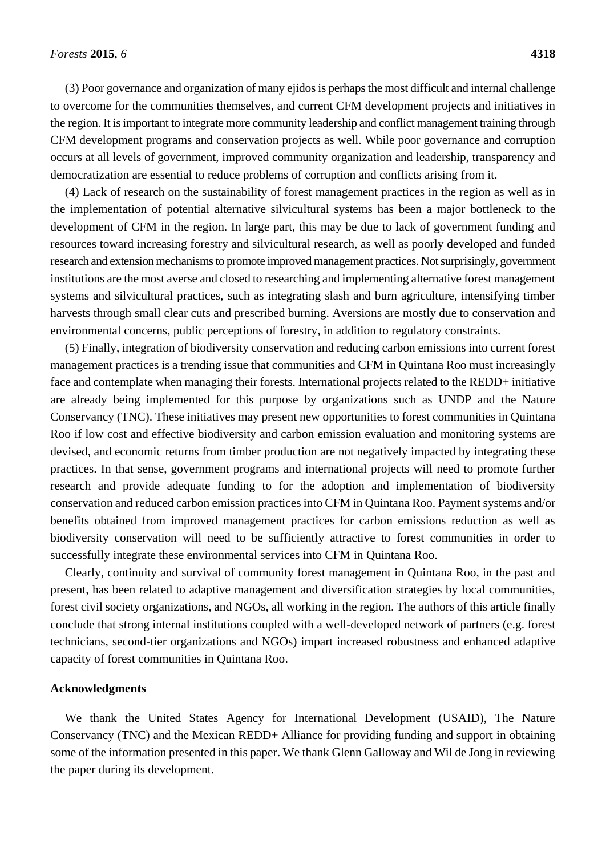(3) Poor governance and organization of many ejidos is perhaps the most difficult and internal challenge to overcome for the communities themselves, and current CFM development projects and initiatives in the region. It is important to integrate more community leadership and conflict management training through CFM development programs and conservation projects as well. While poor governance and corruption occurs at all levels of government, improved community organization and leadership, transparency and democratization are essential to reduce problems of corruption and conflicts arising from it.

(4) Lack of research on the sustainability of forest management practices in the region as well as in the implementation of potential alternative silvicultural systems has been a major bottleneck to the development of CFM in the region. In large part, this may be due to lack of government funding and resources toward increasing forestry and silvicultural research, as well as poorly developed and funded research and extension mechanisms to promote improved management practices. Not surprisingly, government institutions are the most averse and closed to researching and implementing alternative forest management systems and silvicultural practices, such as integrating slash and burn agriculture, intensifying timber harvests through small clear cuts and prescribed burning. Aversions are mostly due to conservation and environmental concerns, public perceptions of forestry, in addition to regulatory constraints.

(5) Finally, integration of biodiversity conservation and reducing carbon emissions into current forest management practices is a trending issue that communities and CFM in Quintana Roo must increasingly face and contemplate when managing their forests. International projects related to the REDD+ initiative are already being implemented for this purpose by organizations such as UNDP and the Nature Conservancy (TNC). These initiatives may present new opportunities to forest communities in Quintana Roo if low cost and effective biodiversity and carbon emission evaluation and monitoring systems are devised, and economic returns from timber production are not negatively impacted by integrating these practices. In that sense, government programs and international projects will need to promote further research and provide adequate funding to for the adoption and implementation of biodiversity conservation and reduced carbon emission practices into CFM in Quintana Roo. Payment systems and/or benefits obtained from improved management practices for carbon emissions reduction as well as biodiversity conservation will need to be sufficiently attractive to forest communities in order to successfully integrate these environmental services into CFM in Quintana Roo.

Clearly, continuity and survival of community forest management in Quintana Roo, in the past and present, has been related to adaptive management and diversification strategies by local communities, forest civil society organizations, and NGOs, all working in the region. The authors of this article finally conclude that strong internal institutions coupled with a well-developed network of partners (e.g. forest technicians, second-tier organizations and NGOs) impart increased robustness and enhanced adaptive capacity of forest communities in Quintana Roo.

## **Acknowledgments**

We thank the United States Agency for International Development (USAID), The Nature Conservancy (TNC) and the Mexican REDD+ Alliance for providing funding and support in obtaining some of the information presented in this paper. We thank Glenn Galloway and Wil de Jong in reviewing the paper during its development.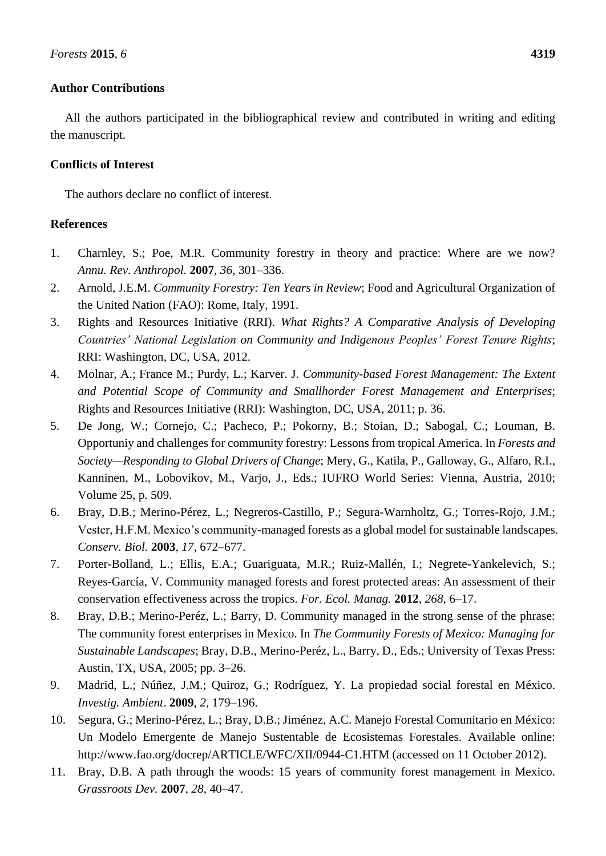# **Author Contributions**

All the authors participated in the bibliographical review and contributed in writing and editing the manuscript.

# **Conflicts of Interest**

The authors declare no conflict of interest.

# **References**

- 1. Charnley, S.; Poe, M.R. Community forestry in theory and practice: Where are we now? *Annu. Rev. Anthropol.* **2007**, *36*, 301–336.
- 2. Arnold, J.E.M. *Community Forestry: Ten Years in Review*; Food and Agricultural Organization of the United Nation (FAO): Rome, Italy, 1991.
- 3. Rights and Resources Initiative (RRI). *What Rights? A Comparative Analysis of Developing Countries' National Legislation on Community and Indigenous Peoples' Forest Tenure Rights*; RRI: Washington, DC, USA, 2012.
- 4. Molnar, A.; France M.; Purdy, L.; Karver. J. *Community-based Forest Management: The Extent and Potential Scope of Community and Smallhorder Forest Management and Enterprises*; Rights and Resources Initiative (RRI): Washington, DC, USA, 2011; p. 36.
- 5. De Jong, W.; Cornejo, C.; Pacheco, P.; Pokorny, B.; Stoian, D.; Sabogal, C.; Louman, B. Opportuniy and challenges for community forestry: Lessons from tropical America. In *Forests and Society—Responding to Global Drivers of Change*; Mery, G., Katila, P., Galloway, G., Alfaro, R.I., Kanninen, M., Lobovikov, M., Varjo, J., Eds.; IUFRO World Series: Vienna, Austria, 2010; Volume 25, p. 509.
- 6. Bray, D.B.; Merino-Pérez, L.; Negreros-Castillo, P.; Segura-Warnholtz, G.; Torres-Rojo, J.M.; Vester, H.F.M. Mexico's community-managed forests as a global model for sustainable landscapes. *Conserv. Biol.* **2003**, *17*, 672–677.
- 7. Porter-Bolland, L.; Ellis, E.A.; Guariguata, M.R.; Ruiz-Mallén, I.; Negrete-Yankelevich, S.; Reyes-Garc á, V. Community managed forests and forest protected areas: An assessment of their conservation effectiveness across the tropics. *For. Ecol. Manag.* **2012**, *268*, 6–17.
- 8. Bray, D.B.; Merino-Peréz, L.; Barry, D. Community managed in the strong sense of the phrase: The community forest enterprises in Mexico. In *The Community Forests of Mexico: Managing for Sustainable Landscapes*; Bray, D.B., Merino-Peréz, L., Barry, D., Eds.; University of Texas Press: Austin, TX, USA, 2005; pp. 3–26.
- 9. Madrid, L.; Núñez, J.M.; Quiroz, G.; Rodr guez, Y. La propiedad social forestal en México. *Investig. Ambient*. **2009**, *2*, 179–196.
- 10. Segura, G.; Merino-Pérez, L.; Bray, D.B.; Jiménez, A.C. Manejo Forestal Comunitario en México: Un Modelo Emergente de Manejo Sustentable de Ecosistemas Forestales. Available online: http://www.fao.org/docrep/ARTICLE/WFC/XII/0944-C1.HTM (accessed on 11 October 2012).
- 11. Bray, D.B. A path through the woods: 15 years of community forest management in Mexico. *Grassroots Dev.* **2007**, *28*, 40–47.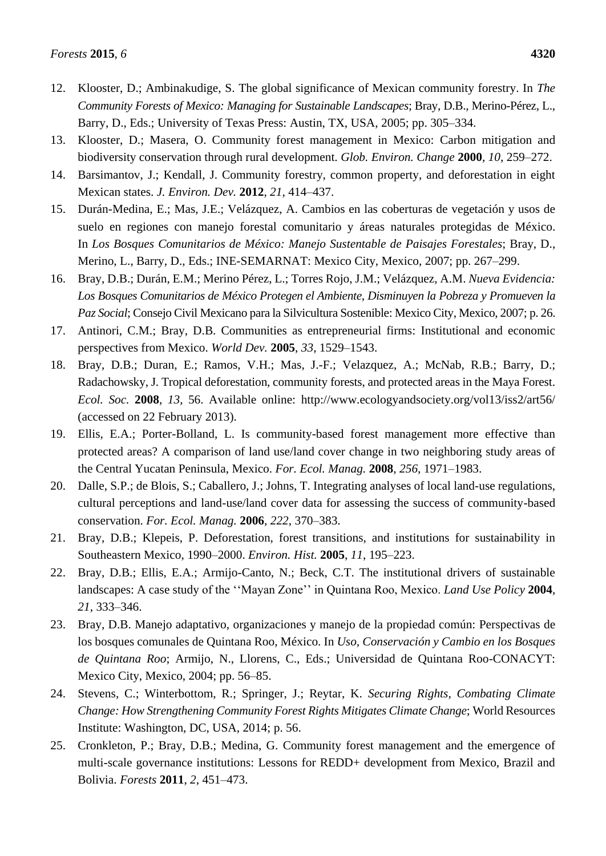- 12. Klooster, D.; Ambinakudige, S. The global significance of Mexican community forestry. In *The Community Forests of Mexico: Managing for Sustainable Landscapes*; Bray, D.B., Merino-Pérez, L., Barry, D., Eds.; University of Texas Press: Austin, TX, USA, 2005; pp. 305–334.
- 13. Klooster, D.; Masera, O. Community forest management in Mexico: Carbon mitigation and biodiversity conservation through rural development. *Glob. Environ. Change* **2000**, *10*, 259–272.
- 14. Barsimantov, J.; Kendall, J. Community forestry, common property, and deforestation in eight Mexican states. *J. Environ. Dev.* **2012**, *21*, 414–437.
- 15. Durán-Medina, E.; Mas, J.E.; Velázquez, A. Cambios en las coberturas de vegetación y usos de suelo en regiones con manejo forestal comunitario y áreas naturales protegidas de México. In *Los Bosques Comunitarios de México: Manejo Sustentable de Paisajes Forestales*; Bray, D., Merino, L., Barry, D., Eds.; INE-SEMARNAT: Mexico City, Mexico, 2007; pp. 267–299.
- 16. Bray, D.B.; Durán, E.M.; Merino Pérez, L.; Torres Rojo, J.M.; Velázquez, A.M. *Nueva Evidencia: Los Bosques Comunitarios de México Protegen el Ambiente, Disminuyen la Pobreza y Promueven la Paz Social*; Consejo Civil Mexicano para la Silvicultura Sostenible: Mexico City, Mexico, 2007; p. 26.
- 17. Antinori, C.M.; Bray, D.B. Communities as entrepreneurial firms: Institutional and economic perspectives from Mexico. *World Dev.* **2005**, *33*, 1529–1543.
- 18. Bray, D.B.; Duran, E.; Ramos, V.H.; Mas, J.-F.; Velazquez, A.; McNab, R.B.; Barry, D.; Radachowsky, J. Tropical deforestation, community forests, and protected areas in the Maya Forest. *Ecol. Soc.* **2008**, *13*, 56. Available online: http://www.ecologyandsociety.org/vol13/iss2/art56/ (accessed on 22 February 2013).
- 19. Ellis, E.A.; Porter-Bolland, L. Is community-based forest management more effective than protected areas? A comparison of land use/land cover change in two neighboring study areas of the Central Yucatan Peninsula, Mexico. *For. Ecol. Manag.* **2008**, *256*, 1971–1983.
- 20. Dalle, S.P.; de Blois, S.; Caballero, J.; Johns, T. Integrating analyses of local land-use regulations, cultural perceptions and land-use/land cover data for assessing the success of community-based conservation. *For. Ecol. Manag.* **2006**, *222*, 370–383.
- 21. Bray, D.B.; Klepeis, P. Deforestation, forest transitions, and institutions for sustainability in Southeastern Mexico, 1990–2000. *Environ. Hist.* **2005**, *11*, 195–223.
- 22. Bray, D.B.; Ellis, E.A.; Armijo-Canto, N.; Beck, C.T. The institutional drivers of sustainable landscapes: A case study of the ''Mayan Zone'' in Quintana Roo, Mexico. *Land Use Policy* **2004**, *21*, 333–346.
- 23. Bray, D.B. Manejo adaptativo, organizaciones y manejo de la propiedad común: Perspectivas de los bosques comunales de Quintana Roo, México. In *Uso, Conservación y Cambio en los Bosques de Quintana Roo*; Armijo, N., Llorens, C., Eds.; Universidad de Quintana Roo-CONACYT: Mexico City, Mexico, 2004; pp. 56–85.
- 24. Stevens, C.; Winterbottom, R.; Springer, J.; Reytar, K. *Securing Rights, Combating Climate Change: How Strengthening Community Forest Rights Mitigates Climate Change*; World Resources Institute: Washington, DC, USA, 2014; p. 56.
- 25. Cronkleton, P.; Bray, D.B.; Medina, G. Community forest management and the emergence of multi-scale governance institutions: Lessons for REDD+ development from Mexico, Brazil and Bolivia. *Forests* **2011**, *2*, 451–473.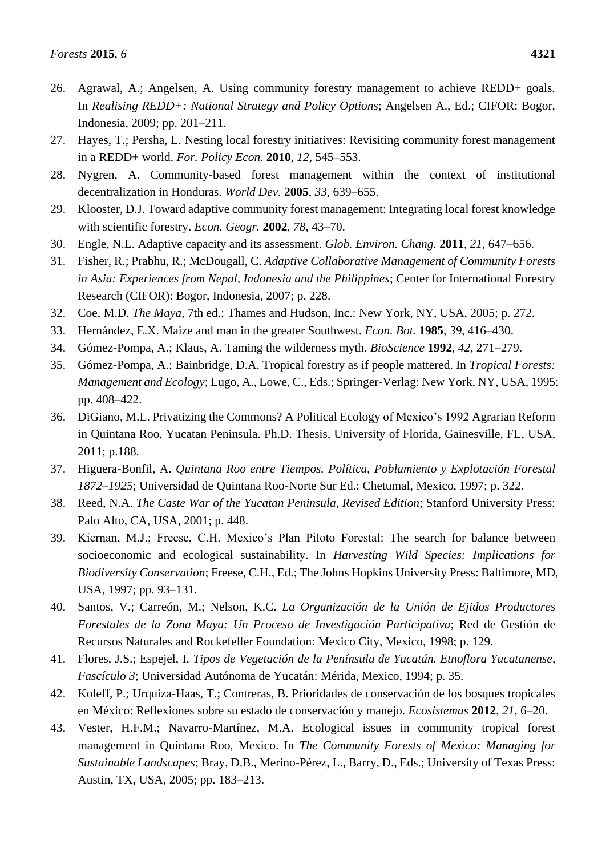- 26. Agrawal, A.; Angelsen, A. Using community forestry management to achieve REDD+ goals. In *Realising REDD+: National Strategy and Policy Options*; Angelsen A., Ed.; CIFOR: Bogor, Indonesia, 2009; pp. 201–211.
- 27. Hayes, T.; Persha, L. Nesting local forestry initiatives: Revisiting community forest management in a REDD+ world. *For. Policy Econ.* **2010**, *12*, 545–553.
- 28. Nygren, A. Community-based forest management within the context of institutional decentralization in Honduras. *World Dev.* **2005**, *33*, 639–655.
- 29. Klooster, D.J. Toward adaptive community forest management: Integrating local forest knowledge with scientific forestry. *Econ. Geogr.* **2002**, *78*, 43–70.
- 30. Engle, N.L. Adaptive capacity and its assessment. *Glob. Environ. Chang.* **2011**, *21*, 647–656.
- 31. Fisher, R.; Prabhu, R.; McDougall, C. *Adaptive Collaborative Management of Community Forests in Asia: Experiences from Nepal, Indonesia and the Philippines*; Center for International Forestry Research (CIFOR): Bogor, Indonesia, 2007; p. 228.
- 32. Coe, M.D. *The Maya*, 7th ed.; Thames and Hudson, Inc.: New York, NY, USA, 2005; p. 272.
- 33. Hernández, E.X. Maize and man in the greater Southwest. *Econ. Bot.* **1985**, *39*, 416–430.
- 34. Gómez-Pompa, A.; Klaus, A. Taming the wilderness myth. *BioScience* **1992**, *42*, 271–279.
- 35. Gómez-Pompa, A.; Bainbridge, D.A. Tropical forestry as if people mattered. In *Tropical Forests: Management and Ecology*; Lugo, A., Lowe, C., Eds.; Springer-Verlag: New York, NY, USA, 1995; pp. 408–422.
- 36. DiGiano, M.L. Privatizing the Commons? A Political Ecology of Mexico's 1992 Agrarian Reform in Quintana Roo, Yucatan Peninsula. Ph.D. Thesis, University of Florida, Gainesville, FL, USA, 2011; p.188.
- 37. Higuera-Bonfil, A. *Quintana Roo entre Tiempos. Política, Poblamiento y Explotación Forestal 1872–1925*; Universidad de Quintana Roo-Norte Sur Ed.: Chetumal, Mexico, 1997; p. 322.
- 38. Reed, N.A. *The Caste War of the Yucatan Peninsula, Revised Edition*; Stanford University Press: Palo Alto, CA, USA, 2001; p. 448.
- 39. Kiernan, M.J.; Freese, C.H. Mexico's Plan Piloto Forestal: The search for balance between socioeconomic and ecological sustainability. In *Harvesting Wild Species: Implications for Biodiversity Conservation*; Freese, C.H., Ed.; The Johns Hopkins University Press: Baltimore, MD, USA, 1997; pp. 93–131.
- 40. Santos, V.; Carreón, M.; Nelson, K.C. *La Organización de la Unión de Ejidos Productores Forestales de la Zona Maya: Un Proceso de Investigación Participativa*; Red de Gestión de Recursos Naturales and Rockefeller Foundation: Mexico City, Mexico, 1998; p. 129.
- 41. Flores, J.S.; Espejel, I. *Tipos de Vegetación de la Península de Yucatán. Etnoflora Yucatanense*, *Fascículo 3*; Universidad Autónoma de Yucatán: Mérida, Mexico, 1994; p. 35.
- 42. Koleff, P.; Urquiza-Haas, T.; Contreras, B. Prioridades de conservación de los bosques tropicales en México: Reflexiones sobre su estado de conservación y manejo. *Ecosistemas* **2012**, *21*, 6–20.
- 43. Vester, H.F.M.; Navarro-Mart nez, M.A. Ecological issues in community tropical forest management in Quintana Roo, Mexico. In *The Community Forests of Mexico: Managing for Sustainable Landscapes*; Bray, D.B., Merino-Pérez, L., Barry, D., Eds.; University of Texas Press: Austin, TX, USA, 2005; pp. 183–213.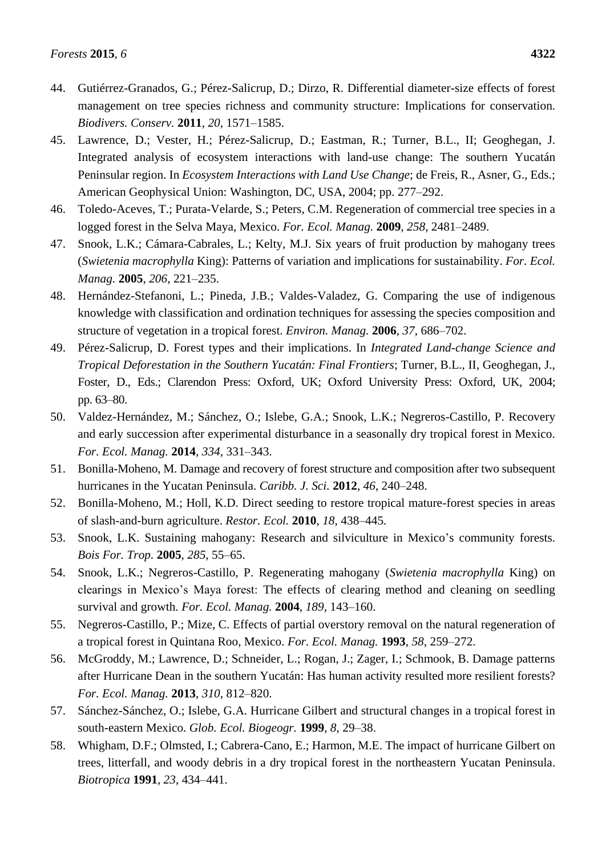- 44. Gutiérrez-Granados, G.; Pérez-Salicrup, D.; Dirzo, R. Differential diameter-size effects of forest management on tree species richness and community structure: Implications for conservation. *Biodivers. Conserv.* **2011**, *20*, 1571–1585.
- 45. Lawrence, D.; Vester, H.; Pérez-Salicrup, D.; Eastman, R.; Turner, B.L., II; Geoghegan, J. Integrated analysis of ecosystem interactions with land-use change: The southern Yucatán Peninsular region. In *Ecosystem Interactions with Land Use Change*; de Freis, R., Asner, G., Eds.; American Geophysical Union: Washington, DC, USA, 2004; pp. 277–292.
- 46. Toledo-Aceves, T.; Purata-Velarde, S.; Peters, C.M. Regeneration of commercial tree species in a logged forest in the Selva Maya, Mexico. *For. Ecol. Manag.* **2009**, *258*, 2481–2489.
- 47. Snook, L.K.; Cámara-Cabrales, L.; Kelty, M.J. Six years of fruit production by mahogany trees (*Swietenia macrophylla* King): Patterns of variation and implications for sustainability. *For. Ecol. Manag.* **2005**, *206*, 221–235.
- 48. Hernández-Stefanoni, L.; Pineda, J.B.; Valdes-Valadez, G. Comparing the use of indigenous knowledge with classification and ordination techniques for assessing the species composition and structure of vegetation in a tropical forest. *Environ. Manag.* **2006**, *37*, 686–702.
- 49. Pérez-Salicrup, D. Forest types and their implications. In *Integrated Land-change Science and Tropical Deforestation in the Southern Yucatán: Final Frontiers*; Turner, B.L., II, Geoghegan, J., Foster, D., Eds.; Clarendon Press: Oxford, UK; Oxford University Press: Oxford, UK, 2004; pp. 63–80.
- 50. Valdez-Hernández, M.; Sánchez, O.; Islebe, G.A.; Snook, L.K.; Negreros-Castillo, P. Recovery and early succession after experimental disturbance in a seasonally dry tropical forest in Mexico. *For. Ecol. Manag.* **2014**, *334*, 331–343.
- 51. Bonilla-Moheno, M. Damage and recovery of forest structure and composition after two subsequent hurricanes in the Yucatan Peninsula. *Caribb. J. Sci.* **2012**, *46*, 240–248.
- 52. Bonilla-Moheno, M.; Holl, K.D. Direct seeding to restore tropical mature-forest species in areas of slash-and-burn agriculture. *Restor. Ecol.* **2010**, *18*, 438–445.
- 53. Snook, L.K. Sustaining mahogany: Research and silviculture in Mexico's community forests. *Bois For. Trop.* **2005**, *285*, 55–65.
- 54. Snook, L.K.; Negreros-Castillo, P. Regenerating mahogany (*Swietenia macrophylla* King) on clearings in Mexico's Maya forest: The effects of clearing method and cleaning on seedling survival and growth. *For. Ecol. Manag.* **2004**, *189*, 143–160.
- 55. Negreros-Castillo, P.; Mize, C. Effects of partial overstory removal on the natural regeneration of a tropical forest in Quintana Roo, Mexico. *For. Ecol. Manag.* **1993**, *58*, 259–272.
- 56. McGroddy, M.; Lawrence, D.; Schneider, L.; Rogan, J.; Zager, I.; Schmook, B. Damage patterns after Hurricane Dean in the southern Yucatán: Has human activity resulted more resilient forests? *For. Ecol. Manag.* **2013**, *310*, 812–820.
- 57. Sánchez-Sánchez, O.; Islebe, G.A. Hurricane Gilbert and structural changes in a tropical forest in south-eastern Mexico. *Glob. Ecol. Biogeogr.* **1999**, *8*, 29–38.
- 58. Whigham, D.F.; Olmsted, I.; Cabrera-Cano, E.; Harmon, M.E. The impact of hurricane Gilbert on trees, litterfall, and woody debris in a dry tropical forest in the northeastern Yucatan Peninsula. *Biotropica* **1991**, *23*, 434–441.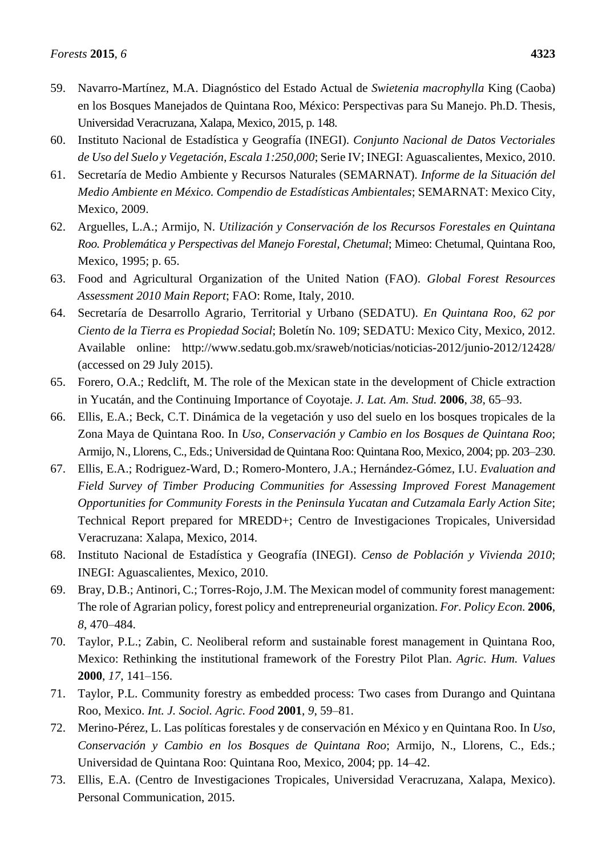- 59. Navarro-Martínez, M.A. Diagnóstico del Estado Actual de *Swietenia macrophylla* King (Caoba) en los Bosques Manejados de Quintana Roo, México: Perspectivas para Su Manejo. Ph.D. Thesis, Universidad Veracruzana, Xalapa, Mexico, 2015, p. 148.
- 60. Instituto Nacional de Estadística y Geografía (INEGI). *Conjunto Nacional de Datos Vectoriales de Uso del Suelo y Vegetación, Escala 1:250,000*; Serie IV; INEGI: Aguascalientes, Mexico, 2010.
- 61. Secretaría de Medio Ambiente y Recursos Naturales (SEMARNAT). *Informe de la Situación del Medio Ambiente en México. Compendio de Estadísticas Ambientales*; SEMARNAT: Mexico City, Mexico, 2009.
- 62. Arguelles, L.A.; Armijo, N. *Utilización y Conservación de los Recursos Forestales en Quintana Roo. Problemática y Perspectivas del Manejo Forestal, Chetumal*; Mimeo: Chetumal, Quintana Roo, Mexico, 1995; p. 65.
- 63. Food and Agricultural Organization of the United Nation (FAO). *Global Forest Resources Assessment 2010 Main Report*; FAO: Rome, Italy, 2010.
- 64. Secretaría de Desarrollo Agrario, Territorial y Urbano (SEDATU). *En Quintana Roo, 62 por Ciento de la Tierra es Propiedad Social*; Boletín No. 109; SEDATU: Mexico City, Mexico, 2012. Available online: <http://www.sedatu.gob.mx/sraweb/noticias/noticias-2012/junio-2012/12428/> (accessed on 29 July 2015).
- 65. Forero, O.A.; Redclift, M. The role of the Mexican state in the development of Chicle extraction in Yucatán, and the Continuing Importance of Coyotaje. *J. Lat. Am. Stud.* **2006**, *38*, 65–93.
- 66. Ellis, E.A.; Beck, C.T. Dinámica de la vegetación y uso del suelo en los bosques tropicales de la Zona Maya de Quintana Roo. In *Uso, Conservación y Cambio en los Bosques de Quintana Roo*; Armijo, N., Llorens, C., Eds.; Universidad de Quintana Roo: Quintana Roo, Mexico, 2004; pp. 203–230.
- 67. Ellis, E.A.; Rodriguez-Ward, D.; Romero-Montero, J.A.; Hernández-Gómez, I.U. *Evaluation and Field Survey of Timber Producing Communities for Assessing Improved Forest Management Opportunities for Community Forests in the Peninsula Yucatan and Cutzamala Early Action Site*; Technical Report prepared for MREDD+; Centro de Investigaciones Tropicales, Universidad Veracruzana: Xalapa, Mexico, 2014.
- 68. Instituto Nacional de Estadística y Geografía (INEGI). *Censo de Población y Vivienda 2010*; INEGI: Aguascalientes, Mexico, 2010.
- 69. Bray, D.B.; Antinori, C.; Torres-Rojo, J.M. The Mexican model of community forest management: The role of Agrarian policy, forest policy and entrepreneurial organization. *For. Policy Econ.* **2006**, *8*, 470–484.
- 70. Taylor, P.L.; Zabin, C. Neoliberal reform and sustainable forest management in Quintana Roo, Mexico: Rethinking the institutional framework of the Forestry Pilot Plan. *Agric. Hum. Values* **2000**, *17*, 141–156.
- 71. Taylor, P.L. Community forestry as embedded process: Two cases from Durango and Quintana Roo, Mexico. *Int. J. Sociol. Agric. Food* **2001**, *9*, 59–81.
- 72. Merino-Pérez, L. Las políticas forestales y de conservación en México y en Quintana Roo. In *Uso, Conservación y Cambio en los Bosques de Quintana Roo*; Armijo, N., Llorens, C., Eds.; Universidad de Quintana Roo: Quintana Roo, Mexico, 2004; pp. 14–42.
- 73. Ellis, E.A. (Centro de Investigaciones Tropicales, Universidad Veracruzana, Xalapa, Mexico). Personal Communication, 2015.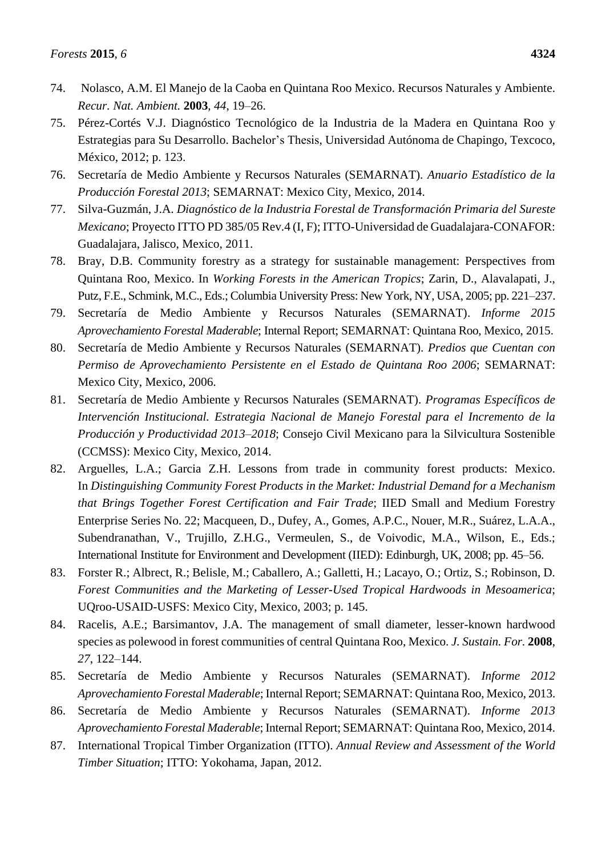- 74. Nolasco, A.M. El Manejo de la Caoba en Quintana Roo Mexico. Recursos Naturales y Ambiente. *Recur. Nat. Ambient.* **2003**, *44*, 19–26.
- 75. Pérez-Cortés V.J. Diagnóstico Tecnológico de la Industria de la Madera en Quintana Roo y Estrategias para Su Desarrollo. Bachelor's Thesis, Universidad Autónoma de Chapingo, Texcoco, México, 2012; p. 123.
- 76. Secretaría de Medio Ambiente y Recursos Naturales (SEMARNAT). *Anuario Estadístico de la Producción Forestal 2013*; SEMARNAT: Mexico City, Mexico, 2014.
- 77. Silva-Guzmán, J.A. *Diagnóstico de la Industria Forestal de Transformación Primaria del Sureste Mexicano*; Proyecto ITTO PD 385/05 Rev.4 (I, F); ITTO-Universidad de Guadalajara-CONAFOR: Guadalajara, Jalisco, Mexico, 2011.
- 78. Bray, D.B. Community forestry as a strategy for sustainable management: Perspectives from Quintana Roo, Mexico. In *Working Forests in the American Tropics*; Zarin, D., Alavalapati, J., Putz, F.E., Schmink, M.C., Eds.; Columbia University Press: New York, NY, USA, 2005; pp. 221–237.
- 79. Secretaría de Medio Ambiente y Recursos Naturales (SEMARNAT). *Informe 2015 Aprovechamiento Forestal Maderable*; Internal Report; SEMARNAT: Quintana Roo, Mexico, 2015.
- 80. Secretaría de Medio Ambiente y Recursos Naturales (SEMARNAT). *Predios que Cuentan con Permiso de Aprovechamiento Persistente en el Estado de Quintana Roo 2006*; SEMARNAT: Mexico City, Mexico, 2006.
- 81. Secretar á de Medio Ambiente y Recursos Naturales (SEMARNAT). *Programas Espec ficos de Intervención Institucional. Estrategia Nacional de Manejo Forestal para el Incremento de la Producción y Productividad 2013–2018*; Consejo Civil Mexicano para la Silvicultura Sostenible (CCMSS): Mexico City, Mexico, 2014.
- 82. Arguelles, L.A.; Garcia Z.H. Lessons from trade in community forest products: Mexico. In *Distinguishing Community Forest Products in the Market: Industrial Demand for a Mechanism that Brings Together Forest Certification and Fair Trade*; IIED Small and Medium Forestry Enterprise Series No. 22; Macqueen, D., Dufey, A., Gomes, A.P.C., Nouer, M.R., Suárez, L.A.A., Subendranathan, V., Trujillo, Z.H.G., Vermeulen, S., de Voivodic, M.A., Wilson, E., Eds.; International Institute for Environment and Development (IIED): Edinburgh, UK, 2008; pp. 45–56.
- 83. Forster R.; Albrect, R.; Belisle, M.; Caballero, A.; Galletti, H.; Lacayo, O.; Ortiz, S.; Robinson, D. *Forest Communities and the Marketing of Lesser-Used Tropical Hardwoods in Mesoamerica*; UQroo-USAID-USFS: Mexico City, Mexico, 2003; p. 145.
- 84. Racelis, A.E.; Barsimantov, J.A. The management of small diameter, lesser-known hardwood species as polewood in forest communities of central Quintana Roo, Mexico. *J. Sustain. For.* **2008**, *27*, 122–144.
- 85. Secretaría de Medio Ambiente y Recursos Naturales (SEMARNAT). *Informe 2012 Aprovechamiento Forestal Maderable*; Internal Report; SEMARNAT: Quintana Roo, Mexico, 2013.
- 86. Secretaría de Medio Ambiente y Recursos Naturales (SEMARNAT). *Informe 2013 Aprovechamiento Forestal Maderable*; Internal Report; SEMARNAT: Quintana Roo, Mexico, 2014.
- 87. International Tropical Timber Organization (ITTO). *Annual Review and Assessment of the World Timber Situation*; ITTO: Yokohama, Japan, 2012.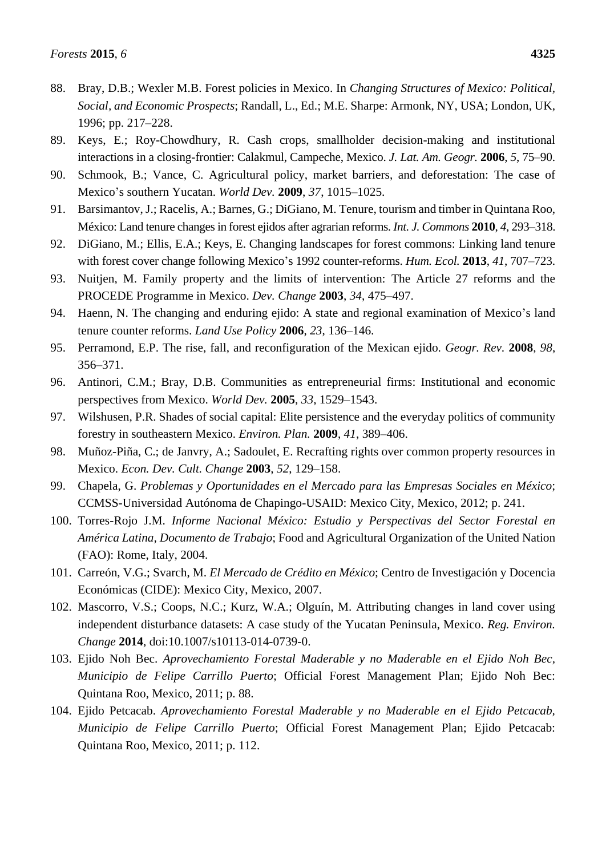- 88. Bray, D.B.; Wexler M.B. Forest policies in Mexico. In *Changing Structures of Mexico: Political, Social, and Economic Prospects*; Randall, L., Ed.; M.E. Sharpe: Armonk, NY, USA; London, UK, 1996; pp. 217–228.
- 89. Keys, E.; Roy-Chowdhury, R. Cash crops, smallholder decision-making and institutional interactions in a closing-frontier: Calakmul, Campeche, Mexico. *J. Lat. Am. Geogr.* **2006**, *5*, 75–90.
- 90. Schmook, B.; Vance, C. Agricultural policy, market barriers, and deforestation: The case of Mexico's southern Yucatan. *World Dev.* **2009**, *37*, 1015–1025.
- 91. Barsimantov, J.; Racelis, A.; Barnes, G.; DiGiano, M. Tenure, tourism and timber in Quintana Roo, México: Land tenure changes in forest ejidos after agrarian reforms. *Int. J. Commons* **2010**, *4*, 293–318.
- 92. DiGiano, M.; Ellis, E.A.; Keys, E. Changing landscapes for forest commons: Linking land tenure with forest cover change following Mexico's 1992 counter-reforms. *Hum. Ecol.* **2013**, *41*, 707–723.
- 93. Nuitjen, M. Family property and the limits of intervention: The Article 27 reforms and the PROCEDE Programme in Mexico. *Dev. Change* **2003**, *34*, 475–497.
- 94. Haenn, N. The changing and enduring ejido: A state and regional examination of Mexico's land tenure counter reforms. *Land Use Policy* **2006**, *23*, 136–146.
- 95. Perramond, E.P. The rise, fall, and reconfiguration of the Mexican ejido. *Geogr. Rev.* **2008**, *98*, 356–371.
- 96. Antinori, C.M.; Bray, D.B. Communities as entrepreneurial firms: Institutional and economic perspectives from Mexico. *World Dev.* **2005**, *33*, 1529–1543.
- 97. Wilshusen, P.R. Shades of social capital: Elite persistence and the everyday politics of community forestry in southeastern Mexico. *Environ. Plan.* **2009**, *41*, 389–406.
- 98. Muñoz-Piña, C.; de Janvry, A.; Sadoulet, E. Recrafting rights over common property resources in Mexico. *Econ. Dev. Cult. Change* **2003**, *52*, 129–158.
- 99. Chapela, G. *Problemas y Oportunidades en el Mercado para las Empresas Sociales en México*; CCMSS-Universidad Autónoma de Chapingo-USAID: Mexico City, Mexico, 2012; p. 241.
- 100. Torres-Rojo J.M. *Informe Nacional México: Estudio y Perspectivas del Sector Forestal en América Latina, Documento de Trabajo*; Food and Agricultural Organization of the United Nation (FAO): Rome, Italy, 2004.
- 101. Carreón, V.G.; Svarch, M. *El Mercado de Crédito en México*; Centro de Investigación y Docencia Económicas (CIDE): Mexico City, Mexico, 2007.
- 102. Mascorro, V.S.; Coops, N.C.; Kurz, W.A.; Olguín, M. Attributing changes in land cover using independent disturbance datasets: A case study of the Yucatan Peninsula, Mexico. *Reg. Environ. Change* **2014**, doi:10.1007/s10113-014-0739-0.
- 103. Ejido Noh Bec. *Aprovechamiento Forestal Maderable y no Maderable en el Ejido Noh Bec, Municipio de Felipe Carrillo Puerto*; Official Forest Management Plan; Ejido Noh Bec: Quintana Roo, Mexico, 2011; p. 88.
- 104. Ejido Petcacab. *Aprovechamiento Forestal Maderable y no Maderable en el Ejido Petcacab, Municipio de Felipe Carrillo Puerto*; Official Forest Management Plan; Ejido Petcacab: Quintana Roo, Mexico, 2011; p. 112.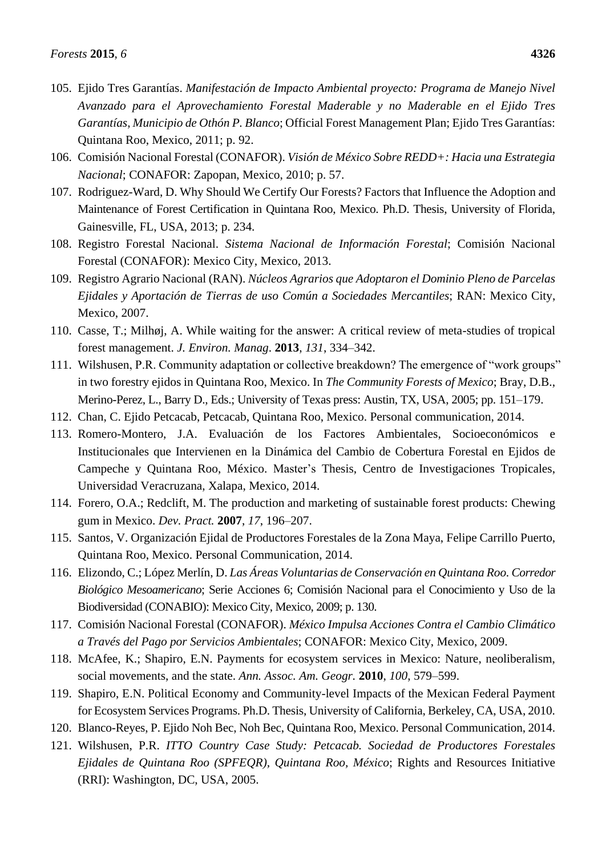- 105. Ejido Tres Garantías. *Manifestación de Impacto Ambiental proyecto: Programa de Manejo Nivel Avanzado para el Aprovechamiento Forestal Maderable y no Maderable en el Ejido Tres Garant ías, Municipio de Othón P. Blanco*; Official Forest Management Plan; Ejido Tres Garant ías: Quintana Roo, Mexico, 2011; p. 92.
- 106. Comisión Nacional Forestal (CONAFOR). *Visión de México Sobre REDD+: Hacia una Estrategia Nacional*; CONAFOR: Zapopan, Mexico, 2010; p. 57.
- 107. Rodriguez-Ward, D. Why Should We Certify Our Forests? Factors that Influence the Adoption and Maintenance of Forest Certification in Quintana Roo, Mexico. Ph.D. Thesis, University of Florida, Gainesville, FL, USA, 2013; p. 234.
- 108. Registro Forestal Nacional. *Sistema Nacional de Información Forestal*; Comisión Nacional Forestal (CONAFOR): Mexico City, Mexico, 2013.
- 109. Registro Agrario Nacional (RAN). *Núcleos Agrarios que Adoptaron el Dominio Pleno de Parcelas Ejidales y Aportación de Tierras de uso Común a Sociedades Mercantiles*; RAN: Mexico City, Mexico, 2007.
- 110. [Casse, T.;](http://rucforsk.ruc.dk/site/en/persons/thorkil-casse(0cc53e5b-60d5-4391-8188-ca9de1d32f25).html) Milhøj, A. [While waiting for the answer: A critical review of meta-studies of tropical](http://rucforsk.ruc.dk/site/en/publications/while-waiting-for-the-answer(f4fdd12d-c767-4c8f-ba2e-1dcc4b47dc19).html)  [forest management.](http://rucforsk.ruc.dk/site/en/publications/while-waiting-for-the-answer(f4fdd12d-c767-4c8f-ba2e-1dcc4b47dc19).html) *J. Environ. Manag*. **2013**, *131*, 334–342.
- 111. Wilshusen, P.R. Community adaptation or collective breakdown? The emergence of "work groups" in two forestry ejidos in Quintana Roo, Mexico. In *The Community Forests of Mexico*; Bray, D.B., Merino-Perez, L., Barry D., Eds.; University of Texas press: Austin, TX, USA, 2005; pp. 151–179.
- 112. Chan, C. Ejido Petcacab, Petcacab, Quintana Roo, Mexico. Personal communication, 2014.
- 113. Romero-Montero, J.A. Evaluación de los Factores Ambientales, Socioeconómicos e Institucionales que Intervienen en la Dinámica del Cambio de Cobertura Forestal en Ejidos de Campeche y Quintana Roo, México. Master's Thesis, Centro de Investigaciones Tropicales, Universidad Veracruzana, Xalapa, Mexico, 2014.
- 114. Forero, O.A.; Redclift, M. The production and marketing of sustainable forest products: Chewing gum in Mexico. *Dev. Pract.* **2007**, *17*, 196–207.
- 115. Santos, V. Organización Ejidal de Productores Forestales de la Zona Maya, Felipe Carrillo Puerto, Quintana Roo, Mexico. Personal Communication, 2014.
- 116. Elizondo, C.; López Merlín, D. *Las Áreas Voluntarias de Conservación en Quintana Roo. Corredor Biológico Mesoamericano*; Serie Acciones 6; Comisión Nacional para el Conocimiento y Uso de la Biodiversidad (CONABIO): Mexico City, Mexico, 2009; p. 130.
- 117. Comisión Nacional Forestal (CONAFOR). *México Impulsa Acciones Contra el Cambio Climático a Través del Pago por Servicios Ambientales*; CONAFOR: Mexico City, Mexico, 2009.
- 118. McAfee, K.; Shapiro, E.N. Payments for ecosystem services in Mexico: Nature, neoliberalism, social movements, and the state. *Ann. Assoc. Am. Geogr.* **2010**, *100*, 579–599.
- 119. Shapiro, E.N. Political Economy and Community-level Impacts of the Mexican Federal Payment for Ecosystem Services Programs. Ph.D. Thesis, University of California, Berkeley, CA, USA, 2010.
- 120. Blanco-Reyes, P. Ejido Noh Bec, Noh Bec, Quintana Roo, Mexico. Personal Communication, 2014.
- 121. Wilshusen, P.R. *ITTO Country Case Study: Petcacab. Sociedad de Productores Forestales Ejidales de Quintana Roo (SPFEQR), Quintana Roo, México*; Rights and Resources Initiative (RRI): Washington, DC, USA, 2005.